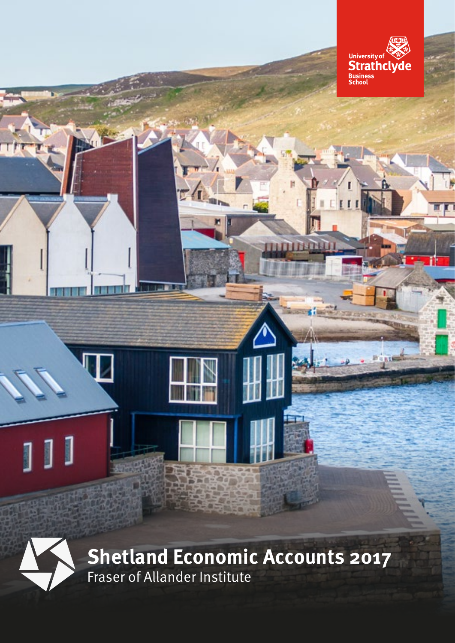

**FETTEL** 



Fraser of Allander Institute **Shetland Economic Accounts 2017**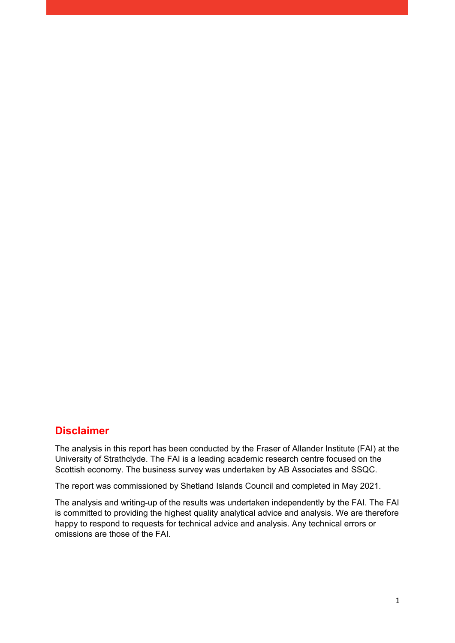#### **Disclaimer**

The analysis in this report has been conducted by the Fraser of Allander Institute (FAI) at the University of Strathclyde. The FAI is a leading academic research centre focused on the Scottish economy. The business survey was undertaken by AB Associates and SSQC.

The report was commissioned by Shetland Islands Council and completed in May 2021.

The analysis and writing-up of the results was undertaken independently by the FAI. The FAI is committed to providing the highest quality analytical advice and analysis. We are therefore happy to respond to requests for technical advice and analysis. Any technical errors or omissions are those of the FAI.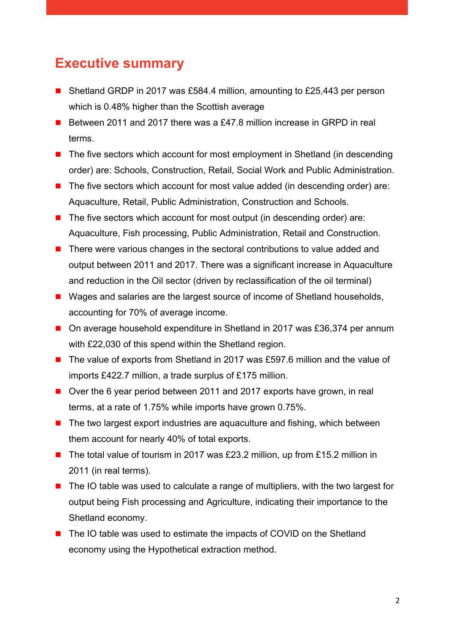### <span id="page-2-0"></span>**Executive summary**

- Shetland GRDP in 2017 was £584.4 million, amounting to £25,443 per person which is 0.48% higher than the Scottish average
- Between 2011 and 2017 there was a £47.8 million increase in GRPD in real terms.
- $\blacksquare$  The five sectors which account for most employment in Shetland (in descending order) are: Schools, Construction, Retail, Social Work and Public Administration.
- $\blacksquare$  The five sectors which account for most value added (in descending order) are: Aquaculture, Retail, Public Administration, Construction and Schools.
- $\blacksquare$  The five sectors which account for most output (in descending order) are: Aquaculture, Fish processing, Public Administration, Retail and Construction.
- There were various changes in the sectoral contributions to value added and output between 2011 and 2017. There was a significant increase in Aquaculture and reduction in the Oil sector (driven by reclassification of the oil terminal)
- Wages and salaries are the largest source of income of Shetland households, accounting for 70% of average income.
- On average household expenditure in Shetland in 2017 was £36,374 per annum with £22,030 of this spend within the Shetland region.
- The value of exports from Shetland in 2017 was £597.6 million and the value of imports £422.7 million, a trade surplus of £175 million.
- Over the 6 year period between 2011 and 2017 exports have grown, in real terms, at a rate of 1.75% while imports have grown 0.75%.
- $\blacksquare$  The two largest export industries are aquaculture and fishing, which between them account for nearly 40% of total exports.
- The total value of tourism in 2017 was £23.2 million, up from £15.2 million in 2011 (in real terms).
- The IO table was used to calculate a range of multipliers, with the two largest for output being Fish processing and Agriculture, indicating their importance to the Shetland economy.
- The IO table was used to estimate the impacts of COVID on the Shetland economy using the Hypothetical extraction method.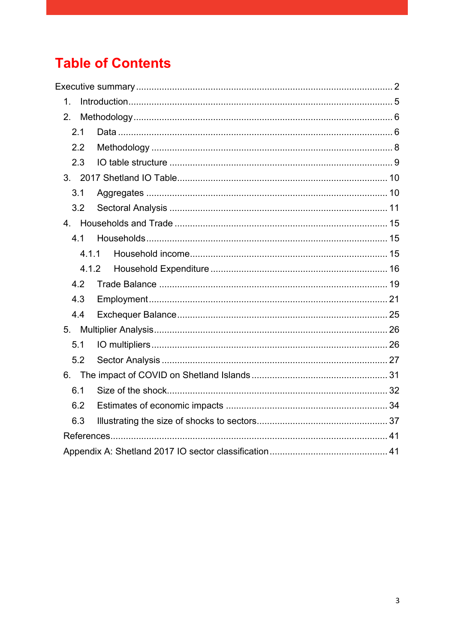## **Table of Contents**

| $\mathbf 1$ . |  |
|---------------|--|
| 2.            |  |
| 2.1           |  |
| 2.2           |  |
| 2.3           |  |
|               |  |
| 3.1           |  |
| 3.2           |  |
|               |  |
| 4.1           |  |
| 4.1.1         |  |
| 4.1.2         |  |
| 4.2           |  |
| 4.3           |  |
| 4.4           |  |
|               |  |
| 5.1           |  |
| 5.2           |  |
|               |  |
| 6.1           |  |
| 6.2           |  |
| 6.3           |  |
|               |  |
|               |  |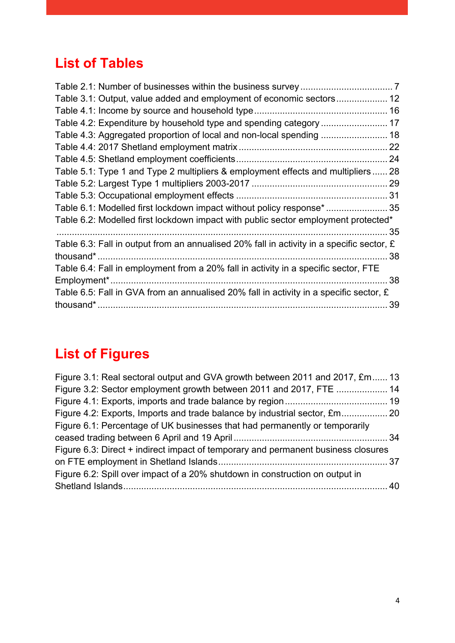## **List of Tables**

| Table 2.1: Number of businesses within the business survey……………………………………7                   |    |
|---------------------------------------------------------------------------------------------|----|
| Table 3.1: Output, value added and employment of economic sectors 12                        |    |
|                                                                                             |    |
| Table 4.2: Expenditure by household type and spending category  17                          |    |
| Table 4.3: Aggregated proportion of local and non-local spending  18                        |    |
|                                                                                             |    |
|                                                                                             |    |
| Table 5.1: Type 1 and Type 2 multipliers & employment effects and multipliers 28            |    |
|                                                                                             |    |
|                                                                                             |    |
| Table 6.1: Modelled first lockdown impact without policy response*  35                      |    |
| Table 6.2: Modelled first lockdown impact with public sector employment protected*          |    |
|                                                                                             | 35 |
| Table 6.3: Fall in output from an annualised 20% fall in activity in a specific sector, $E$ |    |
| thousand*.                                                                                  | 38 |
| Table 6.4: Fall in employment from a 20% fall in activity in a specific sector, FTE         |    |
| Employment*                                                                                 | 38 |
| Table 6.5: Fall in GVA from an annualised 20% fall in activity in a specific sector, $E$    |    |
|                                                                                             | 39 |
|                                                                                             |    |

# **List of Figures**

| Figure 3.1: Real sectoral output and GVA growth between 2011 and 2017, £m 13      |  |
|-----------------------------------------------------------------------------------|--|
| Figure 3.2: Sector employment growth between 2011 and 2017, FTE  14               |  |
|                                                                                   |  |
|                                                                                   |  |
| Figure 6.1: Percentage of UK businesses that had permanently or temporarily       |  |
|                                                                                   |  |
| Figure 6.3: Direct + indirect impact of temporary and permanent business closures |  |
|                                                                                   |  |
| Figure 6.2: Spill over impact of a 20% shutdown in construction on output in      |  |
|                                                                                   |  |
|                                                                                   |  |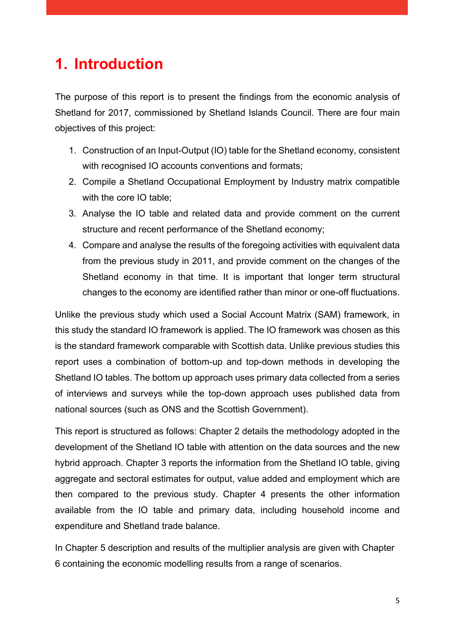## <span id="page-5-0"></span>**1. Introduction**

The purpose of this report is to present the findings from the economic analysis of Shetland for 2017, commissioned by Shetland Islands Council. There are four main objectives of this project:

- 1. Construction of an Input-Output (IO) table for the Shetland economy, consistent with recognised IO accounts conventions and formats;
- 2. Compile a Shetland Occupational Employment by Industry matrix compatible with the core IO table;
- 3. Analyse the IO table and related data and provide comment on the current structure and recent performance of the Shetland economy;
- 4. Compare and analyse the results of the foregoing activities with equivalent data from the previous study in 2011, and provide comment on the changes of the Shetland economy in that time. It is important that longer term structural changes to the economy are identified rather than minor or one-off fluctuations.

Unlike the previous study which used a Social Account Matrix (SAM) framework, in this study the standard IO framework is applied. The IO framework was chosen as this is the standard framework comparable with Scottish data. Unlike previous studies this report uses a combination of bottom-up and top-down methods in developing the Shetland IO tables. The bottom up approach uses primary data collected from a series of interviews and surveys while the top-down approach uses published data from national sources (such as ONS and the Scottish Government).

This report is structured as follows: Chapter 2 details the methodology adopted in the development of the Shetland IO table with attention on the data sources and the new hybrid approach. Chapter 3 reports the information from the Shetland IO table, giving aggregate and sectoral estimates for output, value added and employment which are then compared to the previous study. Chapter 4 presents the other information available from the IO table and primary data, including household income and expenditure and Shetland trade balance.

In Chapter 5 description and results of the multiplier analysis are given with Chapter 6 containing the economic modelling results from a range of scenarios.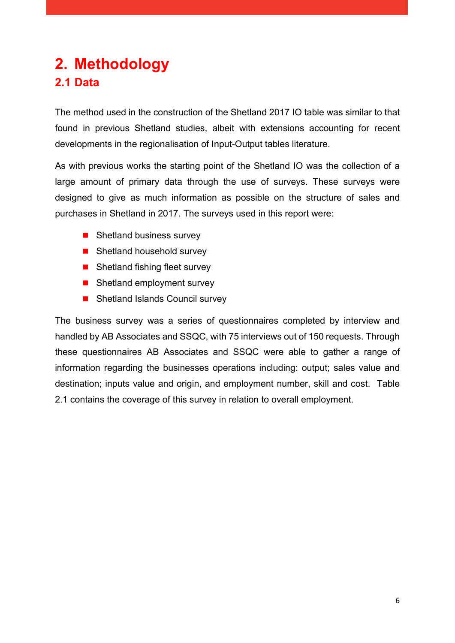## <span id="page-6-1"></span><span id="page-6-0"></span>**2. Methodology 2.1 Data**

The method used in the construction of the Shetland 2017 IO table was similar to that found in previous Shetland studies, albeit with extensions accounting for recent developments in the regionalisation of Input-Output tables literature.

As with previous works the starting point of the Shetland IO was the collection of a large amount of primary data through the use of surveys. These surveys were designed to give as much information as possible on the structure of sales and purchases in Shetland in 2017. The surveys used in this report were:

- $\blacksquare$  Shetland business survey
- Shetland household survey
- Shetland fishing fleet survey
- Shetland employment survey
- Shetland Islands Council survey

The business survey was a series of questionnaires completed by interview and handled by AB Associates and SSQC, with 75 interviews out of 150 requests. Through these questionnaires AB Associates and SSQC were able to gather a range of information regarding the businesses operations including: output; sales value and destination; inputs value and origin, and employment number, skill and cost. Table 2.1 contains the coverage of this survey in relation to overall employment.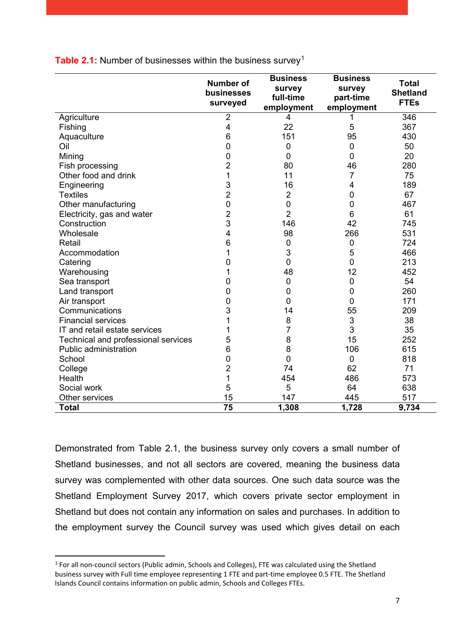|                                     | <b>Number of</b><br>businesses<br>surveyed | <b>Business</b><br>survey<br>full-time<br>employment | <b>Business</b><br>survey<br>part-time<br>employment | <b>Total</b><br><b>Shetland</b><br><b>FTEs</b> |
|-------------------------------------|--------------------------------------------|------------------------------------------------------|------------------------------------------------------|------------------------------------------------|
| Agriculture                         | $\overline{2}$                             | 4                                                    |                                                      | 346                                            |
| Fishing                             | 4                                          | 22                                                   | 5                                                    | 367                                            |
| Aquaculture                         | 6                                          | 151                                                  | 95                                                   | 430                                            |
| Oil                                 | 0                                          | $\mathbf 0$                                          | $\mathbf 0$                                          | 50                                             |
| Mining                              | 0                                          | $\overline{0}$                                       | 0                                                    | 20                                             |
| Fish processing                     | $\overline{c}$                             | 80                                                   | 46                                                   | 280                                            |
| Other food and drink                | 1                                          | 11                                                   | 7                                                    | 75                                             |
| Engineering                         | 3                                          | 16                                                   | 4                                                    | 189                                            |
| <b>Textiles</b>                     | $\overline{2}$                             | $\overline{2}$                                       | 0                                                    | 67                                             |
| Other manufacturing                 | $\boldsymbol{0}$                           | $\mathbf 0$                                          | 0                                                    | 467                                            |
| Electricity, gas and water          | $\overline{2}$                             | $\overline{2}$                                       | 6                                                    | 61                                             |
| Construction                        | 3                                          | 146                                                  | 42                                                   | 745                                            |
| Wholesale                           | 4                                          | 98                                                   | 266                                                  | 531                                            |
| Retail                              | 6                                          | $\mathbf 0$                                          | 0                                                    | 724                                            |
| Accommodation                       | 1                                          | 3                                                    | 5                                                    | 466                                            |
| Catering                            | 0                                          | $\overline{0}$                                       | $\overline{0}$                                       | 213                                            |
| Warehousing                         | 1                                          | 48                                                   | 12                                                   | 452                                            |
| Sea transport                       | 0                                          | $\overline{0}$                                       | $\mathbf 0$                                          | 54                                             |
| Land transport                      | 0                                          | $\overline{0}$                                       | 0                                                    | 260                                            |
| Air transport                       | 0                                          | $\overline{0}$                                       | 0                                                    | 171                                            |
| Communications                      | 3                                          | 14                                                   | 55                                                   | 209                                            |
| <b>Financial services</b>           | 1                                          | 8                                                    | 3                                                    | 38                                             |
| IT and retail estate services       | 1                                          | 7                                                    | 3                                                    | 35                                             |
| Technical and professional services | 5                                          | 8                                                    | 15                                                   | 252                                            |
| Public administration               | 6                                          | 8                                                    | 106                                                  | 615                                            |
| School                              | $\mathbf 0$                                | $\overline{0}$                                       | $\mathbf 0$                                          | 818                                            |
| College                             | $\overline{2}$                             | 74                                                   | 62                                                   | 71                                             |
| Health                              | 1                                          | 454                                                  | 486                                                  | 573                                            |
| Social work                         | 5                                          | 5                                                    | 64                                                   | 638                                            |
| Other services                      | 15                                         | 147                                                  | 445                                                  | 517                                            |
| <b>Total</b>                        | 75                                         | 1,308                                                | 1,728                                                | 9,734                                          |

<span id="page-7-0"></span>**Table 2.[1](#page-7-1):** Number of businesses within the business survey<sup>1</sup>

Demonstrated from Table 2.1, the business survey only covers a small number of Shetland businesses, and not all sectors are covered, meaning the business data survey was complemented with other data sources. One such data source was the Shetland Employment Survey 2017, which covers private sector employment in Shetland but does not contain any information on sales and purchases. In addition to the employment survey the Council survey was used which gives detail on each

<span id="page-7-1"></span><sup>&</sup>lt;sup>1</sup> For all non-council sectors (Public admin, Schools and Colleges), FTE was calculated using the Shetland business survey with Full time employee representing 1 FTE and part-time employee 0.5 FTE. The Shetland Islands Council contains information on public admin, Schools and Colleges FTEs.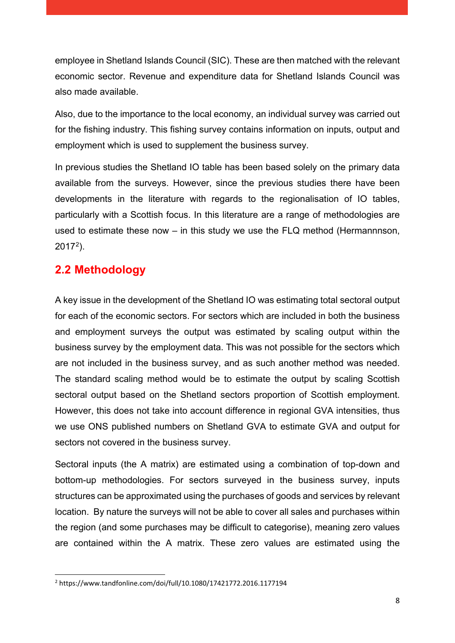employee in Shetland Islands Council (SIC). These are then matched with the relevant economic sector. Revenue and expenditure data for Shetland Islands Council was also made available.

Also, due to the importance to the local economy, an individual survey was carried out for the fishing industry. This fishing survey contains information on inputs, output and employment which is used to supplement the business survey.

In previous studies the Shetland IO table has been based solely on the primary data available from the surveys. However, since the previous studies there have been developments in the literature with regards to the regionalisation of IO tables, particularly with a Scottish focus. In this literature are a range of methodologies are used to estimate these now – in this study we use the FLQ method (Hermannnson,  $2017<sup>2</sup>$ ).

### <span id="page-8-0"></span>**2.2 Methodology**

A key issue in the development of the Shetland IO was estimating total sectoral output for each of the economic sectors. For sectors which are included in both the business and employment surveys the output was estimated by scaling output within the business survey by the employment data. This was not possible for the sectors which are not included in the business survey, and as such another method was needed. The standard scaling method would be to estimate the output by scaling Scottish sectoral output based on the Shetland sectors proportion of Scottish employment. However, this does not take into account difference in regional GVA intensities, thus we use ONS published numbers on Shetland GVA to estimate GVA and output for sectors not covered in the business survey.

Sectoral inputs (the A matrix) are estimated using a combination of top-down and bottom-up methodologies. For sectors surveyed in the business survey, inputs structures can be approximated using the purchases of goods and services by relevant location. By nature the surveys will not be able to cover all sales and purchases within the region (and some purchases may be difficult to categorise), meaning zero values are contained within the A matrix. These zero values are estimated using the

<span id="page-8-1"></span> <sup>2</sup> https://www.tandfonline.com/doi/full/10.1080/17421772.2016.1177194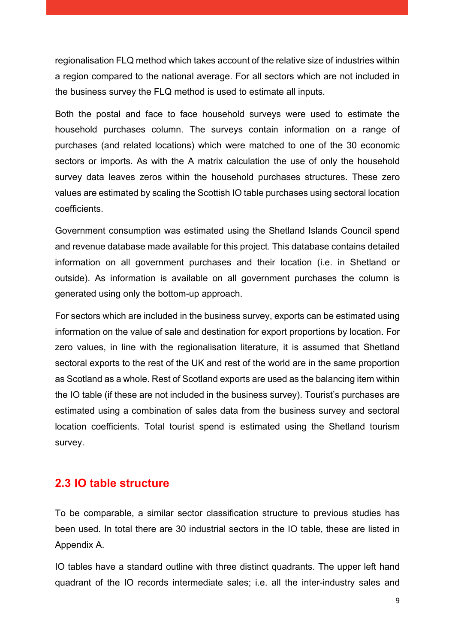regionalisation FLQ method which takes account of the relative size of industries within a region compared to the national average. For all sectors which are not included in the business survey the FLQ method is used to estimate all inputs.

Both the postal and face to face household surveys were used to estimate the household purchases column. The surveys contain information on a range of purchases (and related locations) which were matched to one of the 30 economic sectors or imports. As with the A matrix calculation the use of only the household survey data leaves zeros within the household purchases structures. These zero values are estimated by scaling the Scottish IO table purchases using sectoral location coefficients.

Government consumption was estimated using the Shetland Islands Council spend and revenue database made available for this project. This database contains detailed information on all government purchases and their location (i.e. in Shetland or outside). As information is available on all government purchases the column is generated using only the bottom-up approach.

For sectors which are included in the business survey, exports can be estimated using information on the value of sale and destination for export proportions by location. For zero values, in line with the regionalisation literature, it is assumed that Shetland sectoral exports to the rest of the UK and rest of the world are in the same proportion as Scotland as a whole. Rest of Scotland exports are used as the balancing item within the IO table (if these are not included in the business survey). Tourist's purchases are estimated using a combination of sales data from the business survey and sectoral location coefficients. Total tourist spend is estimated using the Shetland tourism survey.

#### <span id="page-9-0"></span>**2.3 IO table structure**

To be comparable, a similar sector classification structure to previous studies has been used. In total there are 30 industrial sectors in the IO table, these are listed in Appendix A.

IO tables have a standard outline with three distinct quadrants. The upper left hand quadrant of the IO records intermediate sales; i.e. all the inter-industry sales and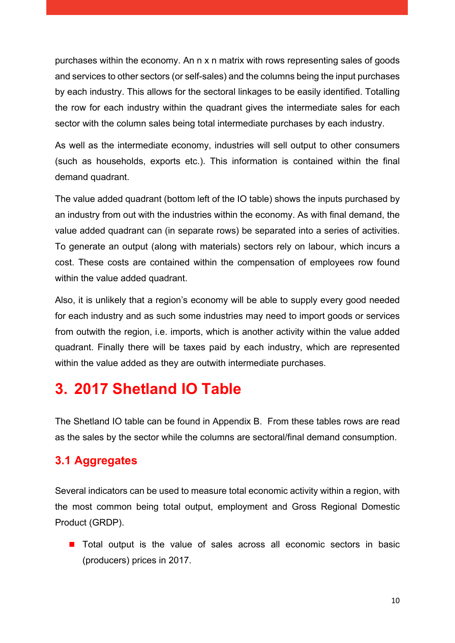purchases within the economy. An n x n matrix with rows representing sales of goods and services to other sectors (or self-sales) and the columns being the input purchases by each industry. This allows for the sectoral linkages to be easily identified. Totalling the row for each industry within the quadrant gives the intermediate sales for each sector with the column sales being total intermediate purchases by each industry.

As well as the intermediate economy, industries will sell output to other consumers (such as households, exports etc.). This information is contained within the final demand quadrant.

The value added quadrant (bottom left of the IO table) shows the inputs purchased by an industry from out with the industries within the economy. As with final demand, the value added quadrant can (in separate rows) be separated into a series of activities. To generate an output (along with materials) sectors rely on labour, which incurs a cost. These costs are contained within the compensation of employees row found within the value added quadrant.

Also, it is unlikely that a region's economy will be able to supply every good needed for each industry and as such some industries may need to import goods or services from outwith the region, i.e. imports, which is another activity within the value added quadrant. Finally there will be taxes paid by each industry, which are represented within the value added as they are outwith intermediate purchases.

## <span id="page-10-0"></span>**3. 2017 Shetland IO Table**

The Shetland IO table can be found in Appendix B. From these tables rows are read as the sales by the sector while the columns are sectoral/final demand consumption.

### <span id="page-10-1"></span>**3.1 Aggregates**

Several indicators can be used to measure total economic activity within a region, with the most common being total output, employment and Gross Regional Domestic Product (GRDP).

**The Total output is the value of sales across all economic sectors in basic** (producers) prices in 2017.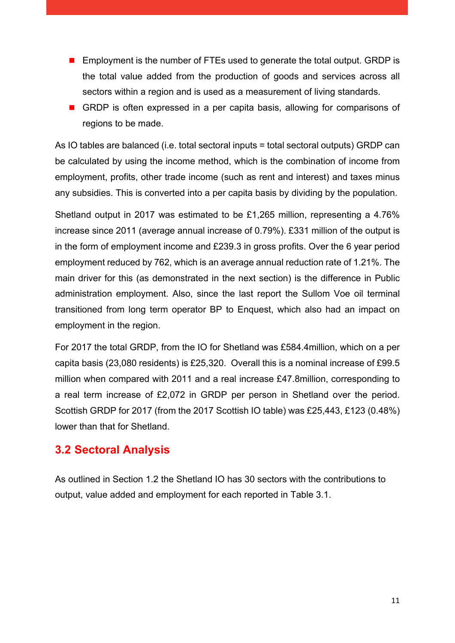- **Employment is the number of FTEs used to generate the total output. GRDP is** the total value added from the production of goods and services across all sectors within a region and is used as a measurement of living standards.
- GRDP is often expressed in a per capita basis, allowing for comparisons of regions to be made.

As IO tables are balanced (i.e. total sectoral inputs = total sectoral outputs) GRDP can be calculated by using the income method, which is the combination of income from employment, profits, other trade income (such as rent and interest) and taxes minus any subsidies. This is converted into a per capita basis by dividing by the population.

Shetland output in 2017 was estimated to be £1,265 million, representing a 4.76% increase since 2011 (average annual increase of 0.79%). £331 million of the output is in the form of employment income and £239.3 in gross profits. Over the 6 year period employment reduced by 762, which is an average annual reduction rate of 1.21%. The main driver for this (as demonstrated in the next section) is the difference in Public administration employment. Also, since the last report the Sullom Voe oil terminal transitioned from long term operator BP to Enquest, which also had an impact on employment in the region.

For 2017 the total GRDP, from the IO for Shetland was £584.4million, which on a per capita basis (23,080 residents) is £25,320. Overall this is a nominal increase of £99.5 million when compared with 2011 and a real increase £47.8million, corresponding to a real term increase of £2,072 in GRDP per person in Shetland over the period. Scottish GRDP for 2017 (from the 2017 Scottish IO table) was £25,443, £123 (0.48%) lower than that for Shetland.

### <span id="page-11-0"></span>**3.2 Sectoral Analysis**

As outlined in Section 1.2 the Shetland IO has 30 sectors with the contributions to output, value added and employment for each reported in Table 3.1.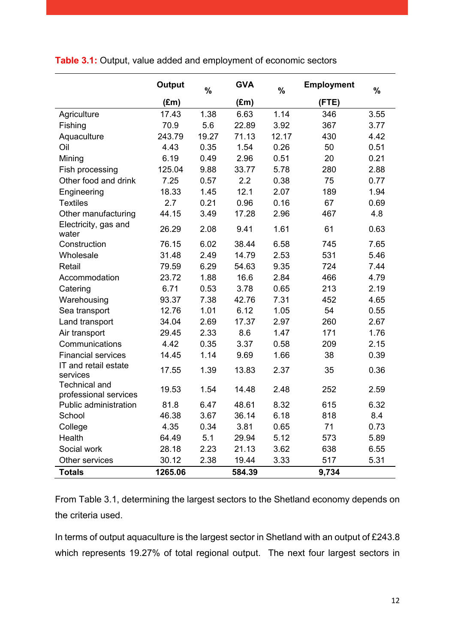<span id="page-12-0"></span>

|  | Table 3.1: Output, value added and employment of economic sectors |  |  |  |  |
|--|-------------------------------------------------------------------|--|--|--|--|
|--|-------------------------------------------------------------------|--|--|--|--|

|                                               | Output        | $\%$  | <b>GVA</b>    | $\%$  | <b>Employment</b> | %    |
|-----------------------------------------------|---------------|-------|---------------|-------|-------------------|------|
|                                               | $(\text{Em})$ |       | $(\text{Em})$ |       | (FTE)             |      |
| Agriculture                                   | 17.43         | 1.38  | 6.63          | 1.14  | 346               | 3.55 |
| Fishing                                       | 70.9          | 5.6   | 22.89         | 3.92  | 367               | 3.77 |
| Aquaculture                                   | 243.79        | 19.27 | 71.13         | 12.17 | 430               | 4.42 |
| Oil                                           | 4.43          | 0.35  | 1.54          | 0.26  | 50                | 0.51 |
| Mining                                        | 6.19          | 0.49  | 2.96          | 0.51  | 20                | 0.21 |
| Fish processing                               | 125.04        | 9.88  | 33.77         | 5.78  | 280               | 2.88 |
| Other food and drink                          | 7.25          | 0.57  | 2.2           | 0.38  | 75                | 0.77 |
| Engineering                                   | 18.33         | 1.45  | 12.1          | 2.07  | 189               | 1.94 |
| <b>Textiles</b>                               | 2.7           | 0.21  | 0.96          | 0.16  | 67                | 0.69 |
| Other manufacturing                           | 44.15         | 3.49  | 17.28         | 2.96  | 467               | 4.8  |
| Electricity, gas and<br>water                 | 26.29         | 2.08  | 9.41          | 1.61  | 61                | 0.63 |
| Construction                                  | 76.15         | 6.02  | 38.44         | 6.58  | 745               | 7.65 |
| Wholesale                                     | 31.48         | 2.49  | 14.79         | 2.53  | 531               | 5.46 |
| Retail                                        | 79.59         | 6.29  | 54.63         | 9.35  | 724               | 7.44 |
| Accommodation                                 | 23.72         | 1.88  | 16.6          | 2.84  | 466               | 4.79 |
| Catering                                      | 6.71          | 0.53  | 3.78          | 0.65  | 213               | 2.19 |
| Warehousing                                   | 93.37         | 7.38  | 42.76         | 7.31  | 452               | 4.65 |
| Sea transport                                 | 12.76         | 1.01  | 6.12          | 1.05  | 54                | 0.55 |
| Land transport                                | 34.04         | 2.69  | 17.37         | 2.97  | 260               | 2.67 |
| Air transport                                 | 29.45         | 2.33  | 8.6           | 1.47  | 171               | 1.76 |
| Communications                                | 4.42          | 0.35  | 3.37          | 0.58  | 209               | 2.15 |
| <b>Financial services</b>                     | 14.45         | 1.14  | 9.69          | 1.66  | 38                | 0.39 |
| IT and retail estate<br>services              | 17.55         | 1.39  | 13.83         | 2.37  | 35                | 0.36 |
| <b>Technical and</b><br>professional services | 19.53         | 1.54  | 14.48         | 2.48  | 252               | 2.59 |
| Public administration                         | 81.8          | 6.47  | 48.61         | 8.32  | 615               | 6.32 |
| School                                        | 46.38         | 3.67  | 36.14         | 6.18  | 818               | 8.4  |
| College                                       | 4.35          | 0.34  | 3.81          | 0.65  | 71                | 0.73 |
| Health                                        | 64.49         | 5.1   | 29.94         | 5.12  | 573               | 5.89 |
| Social work                                   | 28.18         | 2.23  | 21.13         | 3.62  | 638               | 6.55 |
| Other services                                | 30.12         | 2.38  | 19.44         | 3.33  | 517               | 5.31 |
| <b>Totals</b>                                 | 1265.06       |       | 584.39        |       | 9,734             |      |

From Table 3.1, determining the largest sectors to the Shetland economy depends on the criteria used.

In terms of output aquaculture is the largest sector in Shetland with an output of £243.8 which represents 19.27% of total regional output. The next four largest sectors in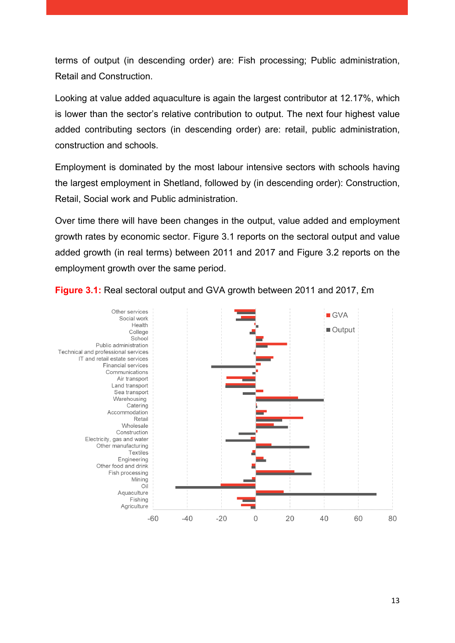terms of output (in descending order) are: Fish processing; Public administration, Retail and Construction.

Looking at value added aquaculture is again the largest contributor at 12.17%, which is lower than the sector's relative contribution to output. The next four highest value added contributing sectors (in descending order) are: retail, public administration, construction and schools.

Employment is dominated by the most labour intensive sectors with schools having the largest employment in Shetland, followed by (in descending order): Construction, Retail, Social work and Public administration.

Over time there will have been changes in the output, value added and employment growth rates by economic sector. Figure 3.1 reports on the sectoral output and value added growth (in real terms) between 2011 and 2017 and Figure 3.2 reports on the employment growth over the same period.



<span id="page-13-0"></span>**Figure 3.1:** Real sectoral output and GVA growth between 2011 and 2017, £m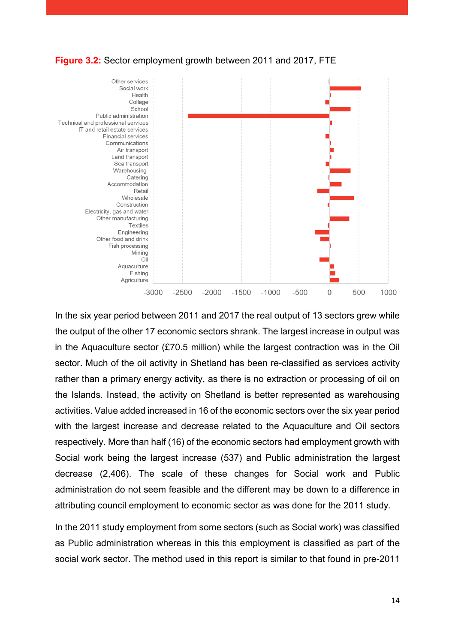<span id="page-14-0"></span>**Figure 3.2:** Sector employment growth between 2011 and 2017, FTE



In the six year period between 2011 and 2017 the real output of 13 sectors grew while the output of the other 17 economic sectors shrank. The largest increase in output was in the Aquaculture sector (£70.5 million) while the largest contraction was in the Oil sector**.** Much of the oil activity in Shetland has been re-classified as services activity rather than a primary energy activity, as there is no extraction or processing of oil on the Islands. Instead, the activity on Shetland is better represented as warehousing activities. Value added increased in 16 of the economic sectors over the six year period with the largest increase and decrease related to the Aquaculture and Oil sectors respectively. More than half (16) of the economic sectors had employment growth with Social work being the largest increase (537) and Public administration the largest decrease (2,406). The scale of these changes for Social work and Public administration do not seem feasible and the different may be down to a difference in attributing council employment to economic sector as was done for the 2011 study.

In the 2011 study employment from some sectors (such as Social work) was classified as Public administration whereas in this this employment is classified as part of the social work sector. The method used in this report is similar to that found in pre-2011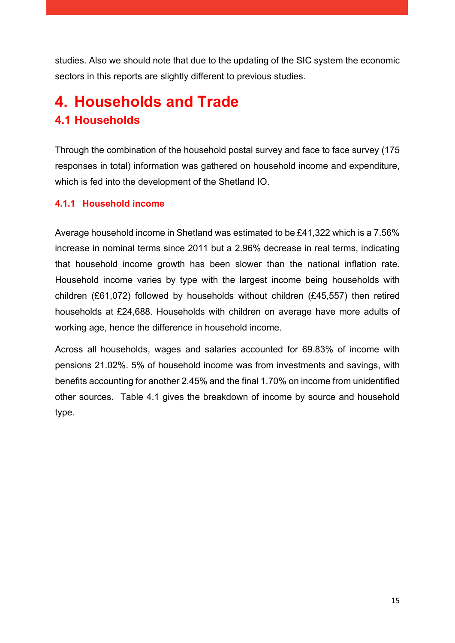studies. Also we should note that due to the updating of the SIC system the economic sectors in this reports are slightly different to previous studies.

## <span id="page-15-1"></span><span id="page-15-0"></span>**4. Households and Trade 4.1 Households**

Through the combination of the household postal survey and face to face survey (175 responses in total) information was gathered on household income and expenditure, which is fed into the development of the Shetland IO.

#### <span id="page-15-2"></span>**4.1.1 Household income**

Average household income in Shetland was estimated to be £41,322 which is a 7.56% increase in nominal terms since 2011 but a 2.96% decrease in real terms, indicating that household income growth has been slower than the national inflation rate. Household income varies by type with the largest income being households with children (£61,072) followed by households without children (£45,557) then retired households at £24,688. Households with children on average have more adults of working age, hence the difference in household income.

Across all households, wages and salaries accounted for 69.83% of income with pensions 21.02%. 5% of household income was from investments and savings, with benefits accounting for another 2.45% and the final 1.70% on income from unidentified other sources. Table 4.1 gives the breakdown of income by source and household type.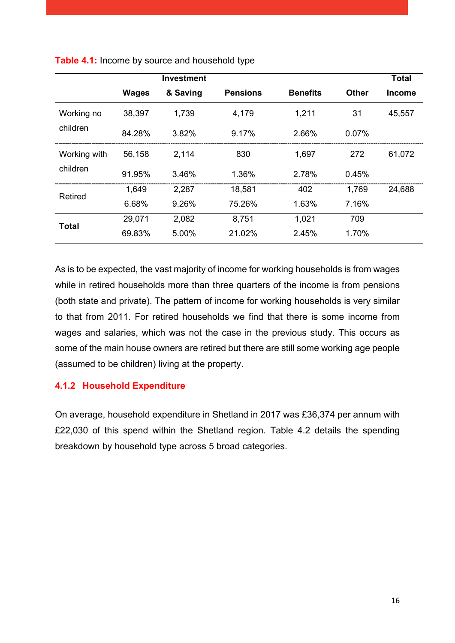|                |              | <b>Investment</b> |                 |                 |              | <b>Total</b>  |
|----------------|--------------|-------------------|-----------------|-----------------|--------------|---------------|
|                | <b>Wages</b> | & Saving          | <b>Pensions</b> | <b>Benefits</b> | <b>Other</b> | <b>Income</b> |
| Working no     | 38,397       | 1,739             | 4,179           | 1,211           | 31           | 45,557        |
| children       | 84.28%       | 3.82%             | 9.17%           | 2.66%           | $0.07\%$     |               |
| Working with   | 56,158       | 2,114             | 830             | 1,697           | 272          | 61,072        |
| children       | 91.95%       | 3.46%             | 1.36%           | 2.78%           | 0.45%        |               |
|                | 1,649        | 2,287             | 18,581          | 402             | 1,769        | 24,688        |
| <b>Retired</b> | 6.68%        | 9.26%             | 75.26%          | 1.63%           | 7.16%        |               |
|                | 29,071       | 2,082             | 8,751           | 1,021           | 709          |               |
| <b>Total</b>   | 69.83%       | 5.00%             | 21.02%          | 2.45%           | 1.70%        |               |

<span id="page-16-1"></span>**Table 4.1:** Income by source and household type

As is to be expected, the vast majority of income for working households is from wages while in retired households more than three quarters of the income is from pensions (both state and private). The pattern of income for working households is very similar to that from 2011. For retired households we find that there is some income from wages and salaries, which was not the case in the previous study. This occurs as some of the main house owners are retired but there are still some working age people (assumed to be children) living at the property.

#### <span id="page-16-0"></span>**4.1.2 Household Expenditure**

On average, household expenditure in Shetland in 2017 was £36,374 per annum with £22,030 of this spend within the Shetland region. Table 4.2 details the spending breakdown by household type across 5 broad categories.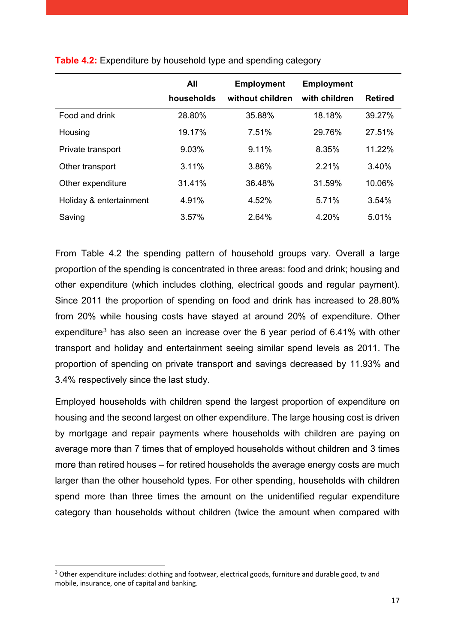|                         | All        | <b>Employment</b> | <b>Employment</b> |                |
|-------------------------|------------|-------------------|-------------------|----------------|
|                         | households | without children  | with children     | <b>Retired</b> |
| Food and drink          | 28.80%     | 35.88%            | 18.18%            | 39.27%         |
| Housing                 | 19.17%     | 7.51%             | 29.76%            | 27.51%         |
| Private transport       | 9.03%      | 9.11%             | 8.35%             | 11.22%         |
| Other transport         | 3.11%      | 3.86%             | 2.21%             | 3.40%          |
| Other expenditure       | 31.41%     | 36.48%            | 31.59%            | 10.06%         |
| Holiday & entertainment | 4.91%      | 4.52%             | 5.71%             | 3.54%          |
| Saving                  | 3.57%      | 2.64%             | 4.20%             | 5.01%          |

<span id="page-17-0"></span>**Table 4.2:** Expenditure by household type and spending category

From Table 4.2 the spending pattern of household groups vary. Overall a large proportion of the spending is concentrated in three areas: food and drink; housing and other expenditure (which includes clothing, electrical goods and regular payment). Since 2011 the proportion of spending on food and drink has increased to 28.80% from 20% while housing costs have stayed at around 20% of expenditure. Other expenditure<sup>[3](#page-17-1)</sup> has also seen an increase over the 6 year period of 6.41% with other transport and holiday and entertainment seeing similar spend levels as 2011. The proportion of spending on private transport and savings decreased by 11.93% and 3.4% respectively since the last study.

Employed households with children spend the largest proportion of expenditure on housing and the second largest on other expenditure. The large housing cost is driven by mortgage and repair payments where households with children are paying on average more than 7 times that of employed households without children and 3 times more than retired houses – for retired households the average energy costs are much larger than the other household types. For other spending, households with children spend more than three times the amount on the unidentified regular expenditure category than households without children (twice the amount when compared with

<span id="page-17-1"></span><sup>&</sup>lt;sup>3</sup> Other expenditure includes: clothing and footwear, electrical goods, furniture and durable good, tv and mobile, insurance, one of capital and banking.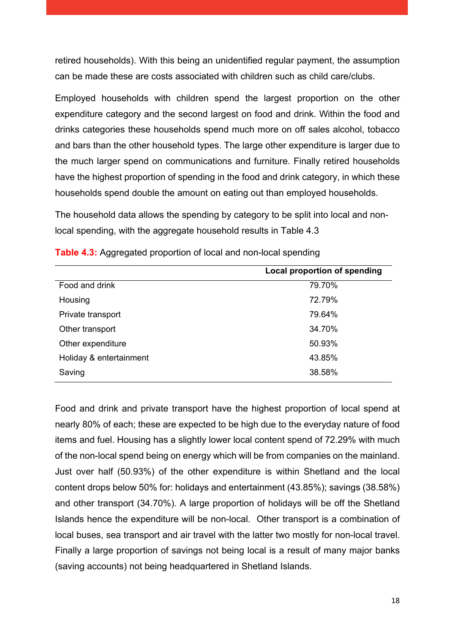retired households). With this being an unidentified regular payment, the assumption can be made these are costs associated with children such as child care/clubs.

Employed households with children spend the largest proportion on the other expenditure category and the second largest on food and drink. Within the food and drinks categories these households spend much more on off sales alcohol, tobacco and bars than the other household types. The large other expenditure is larger due to the much larger spend on communications and furniture. Finally retired households have the highest proportion of spending in the food and drink category, in which these households spend double the amount on eating out than employed households.

The household data allows the spending by category to be split into local and nonlocal spending, with the aggregate household results in Table 4.3

|                         | Local proportion of spending |
|-------------------------|------------------------------|
| Food and drink          | 79.70%                       |
| Housing                 | 72.79%                       |
| Private transport       | 79.64%                       |
| Other transport         | 34.70%                       |
| Other expenditure       | 50.93%                       |
| Holiday & entertainment | 43.85%                       |
| Saving                  | 38.58%                       |

<span id="page-18-0"></span>**Table 4.3:** Aggregated proportion of local and non-local spending

Food and drink and private transport have the highest proportion of local spend at nearly 80% of each; these are expected to be high due to the everyday nature of food items and fuel. Housing has a slightly lower local content spend of 72.29% with much of the non-local spend being on energy which will be from companies on the mainland. Just over half (50.93%) of the other expenditure is within Shetland and the local content drops below 50% for: holidays and entertainment (43.85%); savings (38.58%) and other transport (34.70%). A large proportion of holidays will be off the Shetland Islands hence the expenditure will be non-local. Other transport is a combination of local buses, sea transport and air travel with the latter two mostly for non-local travel. Finally a large proportion of savings not being local is a result of many major banks (saving accounts) not being headquartered in Shetland Islands.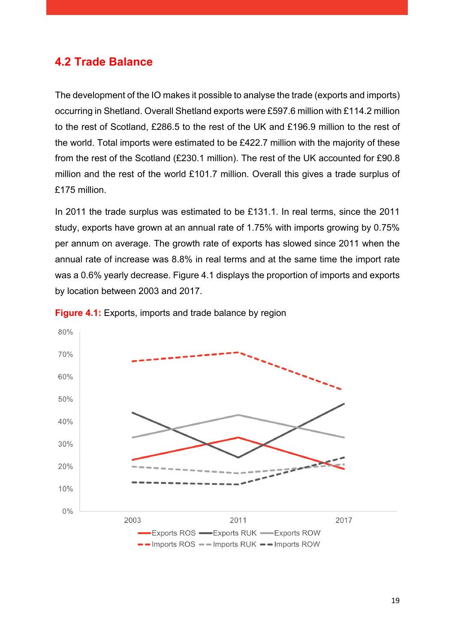### <span id="page-19-0"></span>**4.2 Trade Balance**

The development of the IO makes it possible to analyse the trade (exports and imports) occurring in Shetland. Overall Shetland exports were £597.6 million with £114.2 million to the rest of Scotland, £286.5 to the rest of the UK and £196.9 million to the rest of the world. Total imports were estimated to be £422.7 million with the majority of these from the rest of the Scotland (£230.1 million). The rest of the UK accounted for £90.8 million and the rest of the world £101.7 million. Overall this gives a trade surplus of £175 million.

In 2011 the trade surplus was estimated to be £131.1. In real terms, since the 2011 study, exports have grown at an annual rate of 1.75% with imports growing by 0.75% per annum on average. The growth rate of exports has slowed since 2011 when the annual rate of increase was 8.8% in real terms and at the same time the import rate was a 0.6% yearly decrease. Figure 4.1 displays the proportion of imports and exports by location between 2003 and 2017.



<span id="page-19-1"></span>**Figure 4.1:** Exports, imports and trade balance by region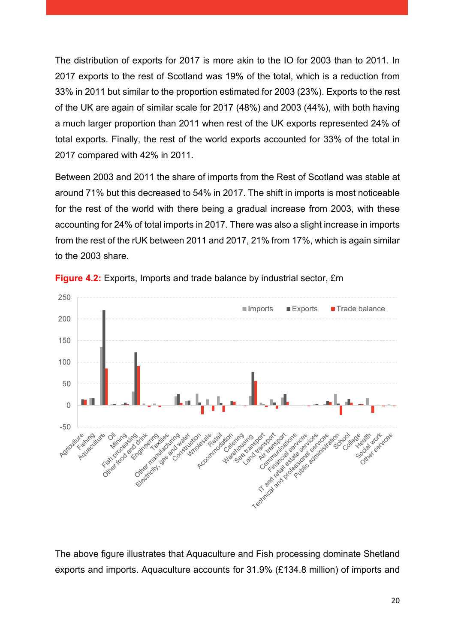The distribution of exports for 2017 is more akin to the IO for 2003 than to 2011. In 2017 exports to the rest of Scotland was 19% of the total, which is a reduction from 33% in 2011 but similar to the proportion estimated for 2003 (23%). Exports to the rest of the UK are again of similar scale for 2017 (48%) and 2003 (44%), with both having a much larger proportion than 2011 when rest of the UK exports represented 24% of total exports. Finally, the rest of the world exports accounted for 33% of the total in 2017 compared with 42% in 2011.

Between 2003 and 2011 the share of imports from the Rest of Scotland was stable at around 71% but this decreased to 54% in 2017. The shift in imports is most noticeable for the rest of the world with there being a gradual increase from 2003, with these accounting for 24% of total imports in 2017. There was also a slight increase in imports from the rest of the rUK between 2011 and 2017, 21% from 17%, which is again similar to the 2003 share.



<span id="page-20-0"></span>**Figure 4.2:** Exports, Imports and trade balance by industrial sector, £m

The above figure illustrates that Aquaculture and Fish processing dominate Shetland exports and imports. Aquaculture accounts for 31.9% (£134.8 million) of imports and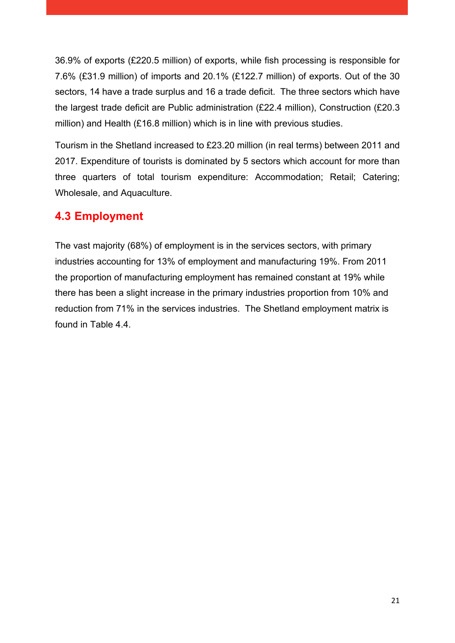36.9% of exports (£220.5 million) of exports, while fish processing is responsible for 7.6% (£31.9 million) of imports and 20.1% (£122.7 million) of exports. Out of the 30 sectors, 14 have a trade surplus and 16 a trade deficit. The three sectors which have the largest trade deficit are Public administration (£22.4 million), Construction (£20.3 million) and Health (£16.8 million) which is in line with previous studies.

Tourism in the Shetland increased to £23.20 million (in real terms) between 2011 and 2017. Expenditure of tourists is dominated by 5 sectors which account for more than three quarters of total tourism expenditure: Accommodation; Retail; Catering; Wholesale, and Aquaculture.

#### <span id="page-21-0"></span>**4.3 Employment**

The vast majority (68%) of employment is in the services sectors, with primary industries accounting for 13% of employment and manufacturing 19%. From 2011 the proportion of manufacturing employment has remained constant at 19% while there has been a slight increase in the primary industries proportion from 10% and reduction from 71% in the services industries. The Shetland employment matrix is found in Table 4.4.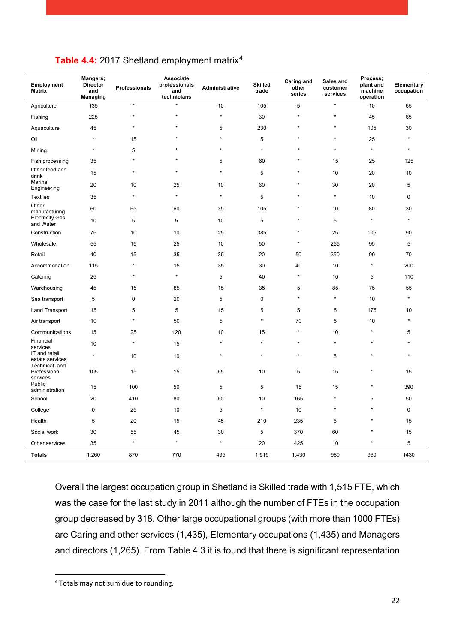| Employment<br><b>Matrix</b>               | Mangers;<br><b>Director</b><br>and<br><b>Managing</b> | <b>Professionals</b> | Associate<br>professionals<br>and<br>technicians | Administrative | <b>Skilled</b><br>trade | Caring and<br>other<br>series | Sales and<br>customer<br>services | Process;<br>plant and<br>machine<br>operation | Elementary<br>occupation |
|-------------------------------------------|-------------------------------------------------------|----------------------|--------------------------------------------------|----------------|-------------------------|-------------------------------|-----------------------------------|-----------------------------------------------|--------------------------|
| Agriculture                               | 135                                                   | $\star$              | $\star$                                          | 10             | 105                     | 5                             | $\star$                           | 10                                            | 65                       |
| Fishing                                   | 225                                                   | $\star$              | $\star$                                          | $\star$        | 30                      | $\star$                       | $\star$                           | 45                                            | 65                       |
| Aquaculture                               | 45                                                    | $\star$              | $\star$                                          | 5              | 230                     | $\star$                       | $\star$                           | 105                                           | 30                       |
| Oil                                       | $\star$                                               | 15                   | $\star$                                          | $\star$        | 5                       | $\star$                       | $\star$                           | 25                                            | $\star$                  |
| Mining                                    | $\star$                                               | 5                    | $\star$                                          | $\star$        | $\star$                 | $\star$                       | $\star$                           | $\star$                                       | $\star$                  |
| Fish processing                           | 35                                                    | $\star$              | $\star$                                          | 5              | 60                      |                               | 15                                | 25                                            | 125                      |
| Other food and<br>drink                   | 15                                                    | $\star$              | $\star$                                          | $\star$        | 5                       |                               | 10                                | 20                                            | 10                       |
| Marine<br>Engineering                     | 20                                                    | 10                   | 25                                               | 10             | 60                      | $\star$                       | 30                                | 20                                            | 5                        |
| <b>Textiles</b>                           | 35                                                    | $\star$              | $\star$                                          | $\star$        | $\,$ 5 $\,$             | $\star$                       | $\star$                           | 10                                            | $\pmb{0}$                |
| Other<br>manufacturing                    | 60                                                    | 65                   | 60                                               | 35             | 105                     | $\star$                       | 10                                | 80                                            | 30                       |
| <b>Electricity Gas</b><br>and Water       | 10                                                    | 5                    | 5                                                | 10             | 5                       | $\star$                       | 5                                 | $\star$                                       | $\star$                  |
| Construction                              | 75                                                    | 10                   | 10                                               | 25             | 385                     | $\star$                       | 25                                | 105                                           | 90                       |
| Wholesale                                 | 55                                                    | 15                   | 25                                               | 10             | 50                      | $\star$                       | 255                               | 95                                            | 5                        |
| Retail                                    | 40                                                    | 15                   | 35                                               | 35             | 20                      | 50                            | 350                               | 90                                            | 70                       |
| Accommodation                             | 115                                                   | $\star$              | 15                                               | 35             | 30                      | 40                            | 10                                | $\star$                                       | 200                      |
| Catering                                  | 25                                                    | $\star$              | $\star$                                          | 5              | 40                      | $\star$                       | 10                                | 5                                             | 110                      |
| Warehousing                               | 45                                                    | 15                   | 85                                               | 15             | 35                      | 5                             | 85                                | 75                                            | 55                       |
| Sea transport                             | 5                                                     | $\mathbf 0$          | 20                                               | 5              | $\pmb{0}$               | $\star$                       | $\star$                           | 10                                            | $\star$                  |
| Land Transport                            | 15                                                    | 5                    | 5                                                | 15             | 5                       | 5                             | $\,$ 5 $\,$                       | 175                                           | 10                       |
| Air transport                             | 10                                                    | $\star$              | 50                                               | 5              | $\star$                 | 70                            | 5                                 | 10                                            | $\star$                  |
| Communications                            | 15                                                    | 25                   | 120                                              | 10             | 15                      | $\star$                       | 10                                | $\star$                                       | 5                        |
| Financial<br>services                     | 10                                                    | $\star$              | 15                                               | $\star$        | $\star$                 | $\star$                       | $\star$                           | $\star$                                       |                          |
| IT and retail<br>estate services          | $\star$                                               | 10                   | 10                                               | $\star$        | $\star$                 | $\star$                       | 5                                 | $\star$                                       | $\star$                  |
| Technical and<br>Professional<br>services | 105                                                   | 15                   | 15                                               | 65             | 10                      | 5                             | 15                                | $\star$                                       | 15                       |
| Public<br>administration                  | 15                                                    | 100                  | 50                                               | 5              | $\,$ 5 $\,$             | 15                            | 15                                | $\star$                                       | 390                      |
| School                                    | 20                                                    | 410                  | 80                                               | 60             | 10                      | 165                           | $\star$                           | 5                                             | 50                       |
| College                                   | $\pmb{0}$                                             | 25                   | 10                                               | 5              | $\star$                 | 10                            | $\star$                           | $\star$                                       | $\mathbf 0$              |
| Health                                    | 5                                                     | 20                   | 15                                               | 45             | 210                     | 235                           | 5                                 | ۸                                             | 15                       |
| Social work                               | 30                                                    | 55                   | 45                                               | 30             | 5                       | 370                           | 60                                |                                               | 15                       |
| Other services                            | 35                                                    | $\star$              | $\star$                                          | $\star$        | 20                      | 425                           | 10                                | $\star$                                       | 5                        |
| <b>Totals</b>                             | 1,260                                                 | 870                  | 770                                              | 495            | 1,515                   | 1,430                         | 980                               | 960                                           | 1430                     |

#### <span id="page-22-0"></span>Table [4](#page-22-1).4: 2017 Shetland employment matrix<sup>4</sup>

Overall the largest occupation group in Shetland is Skilled trade with 1,515 FTE, which was the case for the last study in 2011 although the number of FTEs in the occupation group decreased by 318. Other large occupational groups (with more than 1000 FTEs) are Caring and other services (1,435), Elementary occupations (1,435) and Managers and directors (1,265). From Table 4.3 it is found that there is significant representation

<span id="page-22-1"></span> <sup>4</sup> Totals may not sum due to rounding.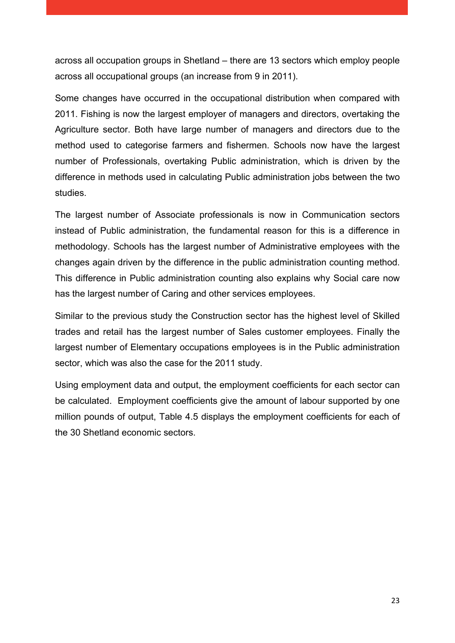across all occupation groups in Shetland – there are 13 sectors which employ people across all occupational groups (an increase from 9 in 2011).

Some changes have occurred in the occupational distribution when compared with 2011. Fishing is now the largest employer of managers and directors, overtaking the Agriculture sector. Both have large number of managers and directors due to the method used to categorise farmers and fishermen. Schools now have the largest number of Professionals, overtaking Public administration, which is driven by the difference in methods used in calculating Public administration jobs between the two studies.

The largest number of Associate professionals is now in Communication sectors instead of Public administration, the fundamental reason for this is a difference in methodology. Schools has the largest number of Administrative employees with the changes again driven by the difference in the public administration counting method. This difference in Public administration counting also explains why Social care now has the largest number of Caring and other services employees.

Similar to the previous study the Construction sector has the highest level of Skilled trades and retail has the largest number of Sales customer employees. Finally the largest number of Elementary occupations employees is in the Public administration sector, which was also the case for the 2011 study.

Using employment data and output, the employment coefficients for each sector can be calculated. Employment coefficients give the amount of labour supported by one million pounds of output, Table 4.5 displays the employment coefficients for each of the 30 Shetland economic sectors.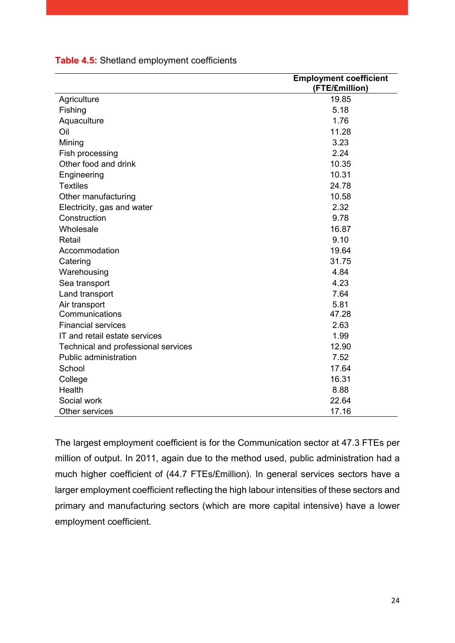|                                     | <b>Employment coefficient</b> |
|-------------------------------------|-------------------------------|
|                                     | (FTE/£million)                |
| Agriculture                         | 19.85                         |
| Fishing                             | 5.18                          |
| Aquaculture                         | 1.76                          |
| Oil                                 | 11.28                         |
| Mining                              | 3.23                          |
| Fish processing                     | 2.24                          |
| Other food and drink                | 10.35                         |
| Engineering                         | 10.31                         |
| <b>Textiles</b>                     | 24.78                         |
| Other manufacturing                 | 10.58                         |
| Electricity, gas and water          | 2.32                          |
| Construction                        | 9.78                          |
| Wholesale                           | 16.87                         |
| Retail                              | 9.10                          |
| Accommodation                       | 19.64                         |
| Catering                            | 31.75                         |
| Warehousing                         | 4.84                          |
| Sea transport                       | 4.23                          |
| Land transport                      | 7.64                          |
| Air transport                       | 5.81                          |
| Communications                      | 47.28                         |
| <b>Financial services</b>           | 2.63                          |
| IT and retail estate services       | 1.99                          |
| Technical and professional services | 12.90                         |
| Public administration               | 7.52                          |
| School                              | 17.64                         |
| College                             | 16.31                         |
| Health                              | 8.88                          |
| Social work                         | 22.64                         |
| Other services                      | 17.16                         |

#### <span id="page-24-0"></span>**Table 4.5:** Shetland employment coefficients

The largest employment coefficient is for the Communication sector at 47.3 FTEs per million of output. In 2011, again due to the method used, public administration had a much higher coefficient of (44.7 FTEs/£million). In general services sectors have a larger employment coefficient reflecting the high labour intensities of these sectors and primary and manufacturing sectors (which are more capital intensive) have a lower employment coefficient.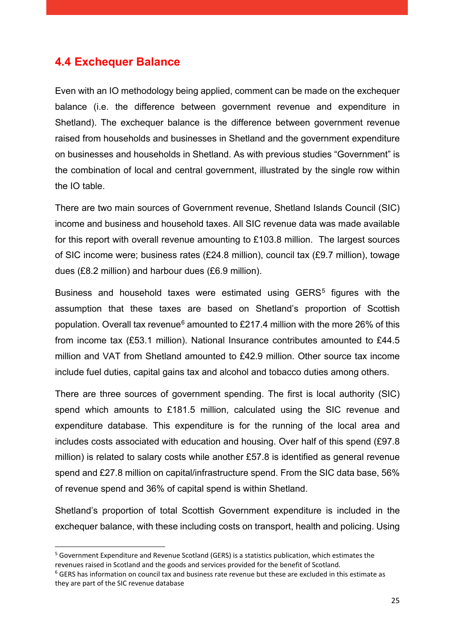#### <span id="page-25-0"></span>**4.4 Exchequer Balance**

Even with an IO methodology being applied, comment can be made on the exchequer balance (i.e. the difference between government revenue and expenditure in Shetland). The exchequer balance is the difference between government revenue raised from households and businesses in Shetland and the government expenditure on businesses and households in Shetland. As with previous studies "Government" is the combination of local and central government, illustrated by the single row within the IO table.

There are two main sources of Government revenue, Shetland Islands Council (SIC) income and business and household taxes. All SIC revenue data was made available for this report with overall revenue amounting to £103.8 million. The largest sources of SIC income were; business rates (£24.8 million), council tax (£9.7 million), towage dues (£8.2 million) and harbour dues (£6.9 million).

Business and household taxes were estimated using GERS<sup>[5](#page-25-1)</sup> figures with the assumption that these taxes are based on Shetland's proportion of Scottish population. Overall tax revenue<sup>[6](#page-25-2)</sup> amounted to £217.4 million with the more 26% of this from income tax (£53.1 million). National Insurance contributes amounted to £44.5 million and VAT from Shetland amounted to £42.9 million. Other source tax income include fuel duties, capital gains tax and alcohol and tobacco duties among others.

There are three sources of government spending. The first is local authority (SIC) spend which amounts to £181.5 million, calculated using the SIC revenue and expenditure database. This expenditure is for the running of the local area and includes costs associated with education and housing. Over half of this spend (£97.8 million) is related to salary costs while another £57.8 is identified as general revenue spend and £27.8 million on capital/infrastructure spend. From the SIC data base, 56% of revenue spend and 36% of capital spend is within Shetland.

Shetland's proportion of total Scottish Government expenditure is included in the exchequer balance, with these including costs on transport, health and policing. Using

<span id="page-25-1"></span> <sup>5</sup> Government Expenditure and Revenue Scotland (GERS) is a statistics publication, which estimates the revenues raised in Scotland and the goods and services provided for the benefit of Scotland.

<span id="page-25-2"></span> $6$  GERS has information on council tax and business rate revenue but these are excluded in this estimate as they are part of the SIC revenue database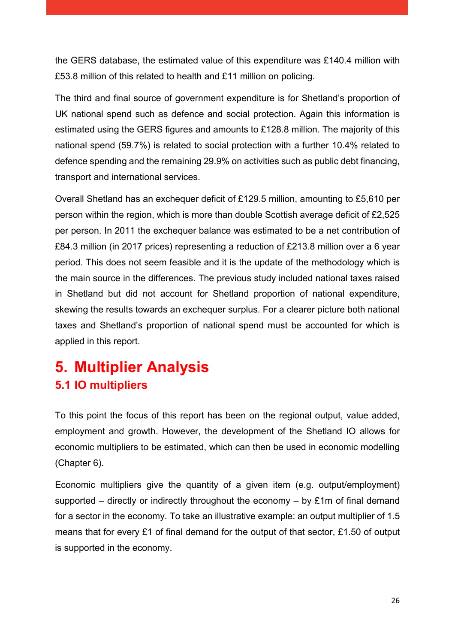the GERS database, the estimated value of this expenditure was £140.4 million with £53.8 million of this related to health and £11 million on policing.

The third and final source of government expenditure is for Shetland's proportion of UK national spend such as defence and social protection. Again this information is estimated using the GERS figures and amounts to £128.8 million. The majority of this national spend (59.7%) is related to social protection with a further 10.4% related to defence spending and the remaining 29.9% on activities such as public debt financing, transport and international services.

Overall Shetland has an exchequer deficit of £129.5 million, amounting to £5,610 per person within the region, which is more than double Scottish average deficit of £2,525 per person. In 2011 the exchequer balance was estimated to be a net contribution of £84.3 million (in 2017 prices) representing a reduction of £213.8 million over a 6 year period. This does not seem feasible and it is the update of the methodology which is the main source in the differences. The previous study included national taxes raised in Shetland but did not account for Shetland proportion of national expenditure, skewing the results towards an exchequer surplus. For a clearer picture both national taxes and Shetland's proportion of national spend must be accounted for which is applied in this report.

## <span id="page-26-1"></span><span id="page-26-0"></span>**5. Multiplier Analysis 5.1 IO multipliers**

To this point the focus of this report has been on the regional output, value added, employment and growth. However, the development of the Shetland IO allows for economic multipliers to be estimated, which can then be used in economic modelling (Chapter 6).

Economic multipliers give the quantity of a given item (e.g. output/employment) supported – directly or indirectly throughout the economy – by £1m of final demand for a sector in the economy. To take an illustrative example: an output multiplier of 1.5 means that for every £1 of final demand for the output of that sector, £1.50 of output is supported in the economy.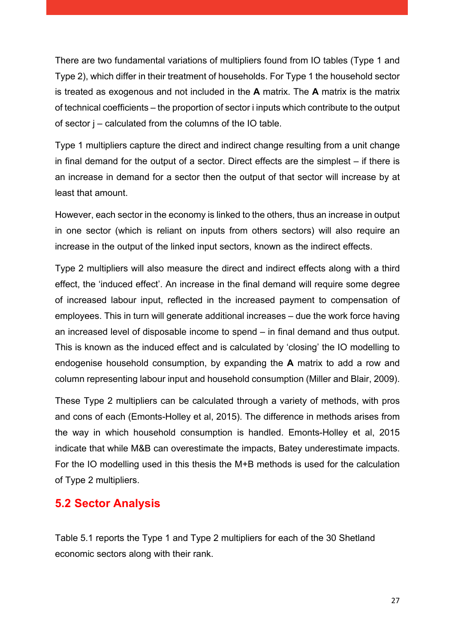There are two fundamental variations of multipliers found from IO tables (Type 1 and Type 2), which differ in their treatment of households. For Type 1 the household sector is treated as exogenous and not included in the **A** matrix. The **A** matrix is the matrix of technical coefficients – the proportion of sector i inputs which contribute to the output of sector j – calculated from the columns of the IO table.

Type 1 multipliers capture the direct and indirect change resulting from a unit change in final demand for the output of a sector. Direct effects are the simplest – if there is an increase in demand for a sector then the output of that sector will increase by at least that amount.

However, each sector in the economy is linked to the others, thus an increase in output in one sector (which is reliant on inputs from others sectors) will also require an increase in the output of the linked input sectors, known as the indirect effects.

Type 2 multipliers will also measure the direct and indirect effects along with a third effect, the 'induced effect'. An increase in the final demand will require some degree of increased labour input, reflected in the increased payment to compensation of employees. This in turn will generate additional increases – due the work force having an increased level of disposable income to spend – in final demand and thus output. This is known as the induced effect and is calculated by 'closing' the IO modelling to endogenise household consumption, by expanding the **A** matrix to add a row and column representing labour input and household consumption (Miller and Blair, 2009).

These Type 2 multipliers can be calculated through a variety of methods, with pros and cons of each (Emonts-Holley et al, 2015). The difference in methods arises from the way in which household consumption is handled. Emonts-Holley et al, 2015 indicate that while M&B can overestimate the impacts, Batey underestimate impacts. For the IO modelling used in this thesis the M+B methods is used for the calculation of Type 2 multipliers.

### <span id="page-27-0"></span>**5.2 Sector Analysis**

Table 5.1 reports the Type 1 and Type 2 multipliers for each of the 30 Shetland economic sectors along with their rank.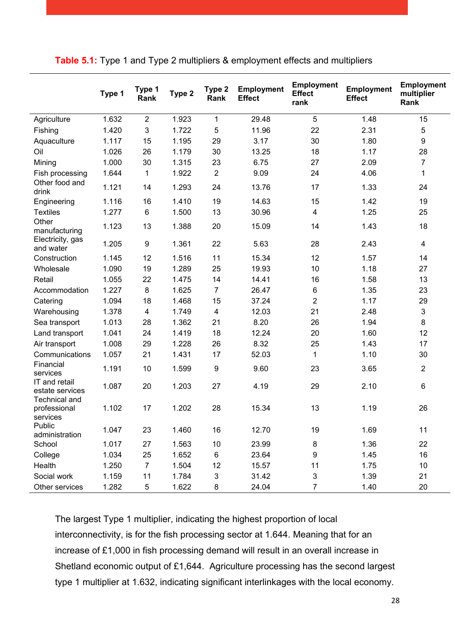<span id="page-28-0"></span>

|                                                  | Type 1 | Type 1<br>Rank          | Type 2 | Type 2<br>Rank          | <b>Employment</b><br><b>Effect</b> | <b>Employment</b><br><b>Effect</b><br>rank | <b>Employment</b><br><b>Effect</b> | <b>Employment</b><br>multiplier<br>Rank |
|--------------------------------------------------|--------|-------------------------|--------|-------------------------|------------------------------------|--------------------------------------------|------------------------------------|-----------------------------------------|
| Agriculture                                      | 1.632  | $\overline{2}$          | 1.923  | $\mathbf 1$             | 29.48                              | 5                                          | 1.48                               | 15                                      |
| Fishing                                          | 1.420  | $\sqrt{3}$              | 1.722  | 5                       | 11.96                              | 22                                         | 2.31                               | $\mathbf 5$                             |
| Aquaculture                                      | 1.117  | 15                      | 1.195  | 29                      | 3.17                               | 30                                         | 1.80                               | $\boldsymbol{9}$                        |
| Oil                                              | 1.026  | 26                      | 1.179  | 30                      | 13.25                              | 18                                         | 1.17                               | 28                                      |
| Mining                                           | 1.000  | 30                      | 1.315  | 23                      | 6.75                               | 27                                         | 2.09                               | $\overline{7}$                          |
| Fish processing                                  | 1.644  | 1                       | 1.922  | $\overline{2}$          | 9.09                               | 24                                         | 4.06                               | 1                                       |
| Other food and<br>drink                          | 1.121  | 14                      | 1.293  | 24                      | 13.76                              | 17                                         | 1.33                               | 24                                      |
| Engineering                                      | 1.116  | 16                      | 1.410  | 19                      | 14.63                              | 15                                         | 1.42                               | 19                                      |
| <b>Textiles</b>                                  | 1.277  | 6                       | 1.500  | 13                      | 30.96                              | 4                                          | 1.25                               | 25                                      |
| Other<br>manufacturing                           | 1.123  | 13                      | 1.388  | 20                      | 15.09                              | 14                                         | 1.43                               | 18                                      |
| Electricity, gas<br>and water                    | 1.205  | $\boldsymbol{9}$        | 1.361  | 22                      | 5.63                               | 28                                         | 2.43                               | 4                                       |
| Construction                                     | 1.145  | 12                      | 1.516  | 11                      | 15.34                              | 12                                         | 1.57                               | 14                                      |
| Wholesale                                        | 1.090  | 19                      | 1.289  | 25                      | 19.93                              | 10                                         | 1.18                               | 27                                      |
| Retail                                           | 1.055  | 22                      | 1.475  | 14                      | 14.41                              | 16                                         | 1.58                               | 13                                      |
| Accommodation                                    | 1.227  | 8                       | 1.625  | $\overline{7}$          | 26.47                              | 6                                          | 1.35                               | 23                                      |
| Catering                                         | 1.094  | 18                      | 1.468  | 15                      | 37.24                              | $\overline{2}$                             | 1.17                               | 29                                      |
| Warehousing                                      | 1.378  | $\overline{\mathbf{4}}$ | 1.749  | $\overline{\mathbf{4}}$ | 12.03                              | 21                                         | 2.48                               | $\mathbf 3$                             |
| Sea transport                                    | 1.013  | 28                      | 1.362  | 21                      | 8.20                               | 26                                         | 1.94                               | 8                                       |
| Land transport                                   | 1.041  | 24                      | 1.419  | 18                      | 12.24                              | 20                                         | 1.60                               | 12                                      |
| Air transport                                    | 1.008  | 29                      | 1.228  | 26                      | 8.32                               | 25                                         | 1.43                               | 17                                      |
| Communications                                   | 1.057  | 21                      | 1.431  | 17                      | 52.03                              | 1                                          | 1.10                               | 30                                      |
| Financial<br>services                            | 1.191  | 10                      | 1.599  | 9                       | 9.60                               | 23                                         | 3.65                               | $\boldsymbol{2}$                        |
| IT and retail<br>estate services                 | 1.087  | 20                      | 1.203  | 27                      | 4.19                               | 29                                         | 2.10                               | 6                                       |
| <b>Technical and</b><br>professional<br>services | 1.102  | 17                      | 1.202  | 28                      | 15.34                              | 13                                         | 1.19                               | 26                                      |
| Public<br>administration                         | 1.047  | 23                      | 1.460  | 16                      | 12.70                              | 19                                         | 1.69                               | 11                                      |
| School                                           | 1.017  | 27                      | 1.563  | 10                      | 23.99                              | 8                                          | 1.36                               | 22                                      |
| College                                          | 1.034  | 25                      | 1.652  | 6                       | 23.64                              | 9                                          | 1.45                               | 16                                      |
| Health                                           | 1.250  | $\overline{7}$          | 1.504  | 12                      | 15.57                              | 11                                         | 1.75                               | 10                                      |
| Social work                                      | 1.159  | 11                      | 1.784  | 3                       | 31.42                              | $\mathfrak{S}$                             | 1.39                               | 21                                      |
| Other services                                   | 1.282  | 5                       | 1.622  | 8                       | 24.04                              | $\overline{7}$                             | 1.40                               | 20                                      |

The largest Type 1 multiplier, indicating the highest proportion of local interconnectivity, is for the fish processing sector at 1.644. Meaning that for an increase of £1,000 in fish processing demand will result in an overall increase in Shetland economic output of £1,644. Agriculture processing has the second largest type 1 multiplier at 1.632, indicating significant interlinkages with the local economy.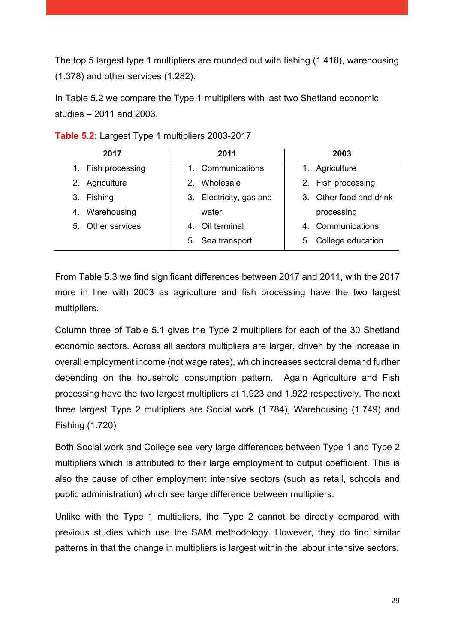The top 5 largest type 1 multipliers are rounded out with fishing (1.418), warehousing (1.378) and other services (1.282).

In Table 5.2 we compare the Type 1 multipliers with last two Shetland economic studies – 2011 and 2003.

| 2017               | 2011                       | 2003                    |
|--------------------|----------------------------|-------------------------|
| 1. Fish processing | 1. Communications          | Agriculture             |
| 2. Agriculture     | Wholesale<br>$\mathcal{P}$ | 2. Fish processing      |
| 3. Fishing         | 3. Electricity, gas and    | 3. Other food and drink |
| 4. Warehousing     | water                      | processing              |
| 5. Other services  | 4. Oil terminal            | 4. Communications       |
|                    | 5. Sea transport           | 5. College education    |

<span id="page-29-0"></span>**Table 5.2:** Largest Type 1 multipliers 2003-2017

From Table 5.3 we find significant differences between 2017 and 2011, with the 2017 more in line with 2003 as agriculture and fish processing have the two largest multipliers.

Column three of Table 5.1 gives the Type 2 multipliers for each of the 30 Shetland economic sectors. Across all sectors multipliers are larger, driven by the increase in overall employment income (not wage rates), which increases sectoral demand further depending on the household consumption pattern. Again Agriculture and Fish processing have the two largest multipliers at 1.923 and 1.922 respectively. The next three largest Type 2 multipliers are Social work (1.784), Warehousing (1.749) and Fishing (1.720)

Both Social work and College see very large differences between Type 1 and Type 2 multipliers which is attributed to their large employment to output coefficient. This is also the cause of other employment intensive sectors (such as retail, schools and public administration) which see large difference between multipliers.

Unlike with the Type 1 multipliers, the Type 2 cannot be directly compared with previous studies which use the SAM methodology. However, they do find similar patterns in that the change in multipliers is largest within the labour intensive sectors.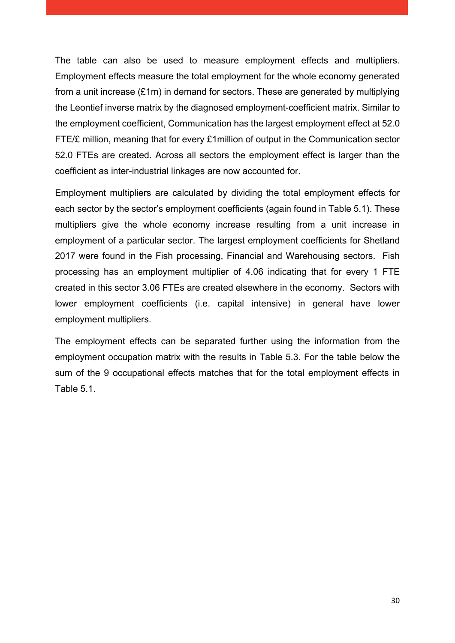The table can also be used to measure employment effects and multipliers. Employment effects measure the total employment for the whole economy generated from a unit increase (£1m) in demand for sectors. These are generated by multiplying the Leontief inverse matrix by the diagnosed employment-coefficient matrix. Similar to the employment coefficient, Communication has the largest employment effect at 52.0 FTE/£ million, meaning that for every £1million of output in the Communication sector 52.0 FTEs are created. Across all sectors the employment effect is larger than the coefficient as inter-industrial linkages are now accounted for.

Employment multipliers are calculated by dividing the total employment effects for each sector by the sector's employment coefficients (again found in Table 5.1). These multipliers give the whole economy increase resulting from a unit increase in employment of a particular sector. The largest employment coefficients for Shetland 2017 were found in the Fish processing, Financial and Warehousing sectors. Fish processing has an employment multiplier of 4.06 indicating that for every 1 FTE created in this sector 3.06 FTEs are created elsewhere in the economy. Sectors with lower employment coefficients (i.e. capital intensive) in general have lower employment multipliers.

The employment effects can be separated further using the information from the employment occupation matrix with the results in Table 5.3. For the table below the sum of the 9 occupational effects matches that for the total employment effects in Table 5.1.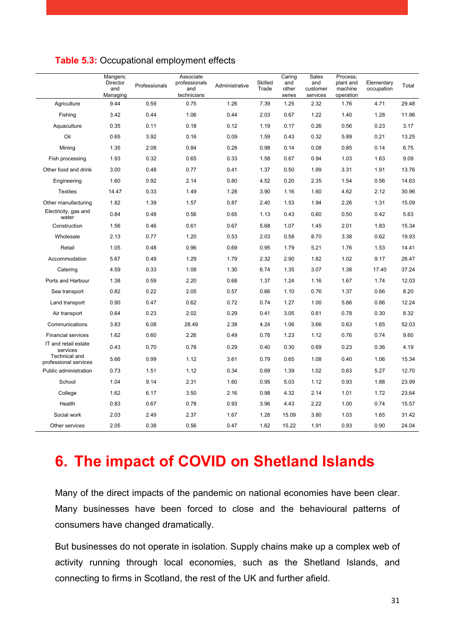|                                        | Mangers;<br>Director<br>and<br>Managing | Professionals | Associate<br>professionals<br>and<br>technicians | Administrative | Skilled<br>Trade | Caring<br>and<br>other<br>series | Sales<br>and<br>customer<br>services | Process;<br>plant and<br>machine<br>operation | Elementary<br>occupation | Total |
|----------------------------------------|-----------------------------------------|---------------|--------------------------------------------------|----------------|------------------|----------------------------------|--------------------------------------|-----------------------------------------------|--------------------------|-------|
| Agriculture                            | 9.44                                    | 0.59          | 0.75                                             | 1.26           | 7.39             | 1.25                             | 2.32                                 | 1.76                                          | 4.71                     | 29.48 |
| Fishing                                | 3.42                                    | 0.44          | 1.06                                             | 0.44           | 2.03             | 0.67                             | 1.22                                 | 1.40                                          | 1.28                     | 11.96 |
| Aquaculture                            | 0.35                                    | 0.11          | 0.18                                             | 0.12           | 1.19             | 0.17                             | 0.26                                 | 0.56                                          | 0.23                     | 3.17  |
| Oil                                    | 0.65                                    | 3.92          | 0.16                                             | 0.09           | 1.59             | 0.43                             | 0.32                                 | 5.89                                          | 0.21                     | 13.25 |
| Minina                                 | 1.35                                    | 2.08          | 0.84                                             | 0.28           | 0.98             | 0.14                             | 0.08                                 | 0.85                                          | 0.14                     | 6.75  |
| Fish processing                        | 1.93                                    | 0.32          | 0.65                                             | 0.33           | 1.58             | 0.67                             | 0.94                                 | 1.03                                          | 1.63                     | 9.09  |
| Other food and drink                   | 3.00                                    | 0.48          | 0.77                                             | 0.41           | 1.37             | 0.50                             | 1.99                                 | 3.31                                          | 1.91                     | 13.76 |
| Engineering                            | 1.60                                    | 0.92          | 2.14                                             | 0.80           | 4.52             | 0.20                             | 2.35                                 | 1.54                                          | 0.56                     | 14.63 |
| <b>Textiles</b>                        | 14.47                                   | 0.33          | 1.49                                             | 1.28           | 3.90             | 1.16                             | 1.60                                 | 4.62                                          | 2.12                     | 30.96 |
| Other manufacturing                    | 1.82                                    | 1.39          | 1.57                                             | 0.87           | 2.40             | 1.53                             | 1.94                                 | 2.26                                          | 1.31                     | 15.09 |
| Electricity, gas and<br>water          | 0.84                                    | 0.48          | 0.56                                             | 0.65           | 1.13             | 0.43                             | 0.60                                 | 0.50                                          | 0.42                     | 5.63  |
| Construction                           | 1.56                                    | 0.46          | 0.61                                             | 0.67           | 5.68             | 1.07                             | 1.45                                 | 2.01                                          | 1.83                     | 15.34 |
| Wholesale                              | 2.13                                    | 0.77          | 1.20                                             | 0.53           | 2.03             | 0.58                             | 8.70                                 | 3.38                                          | 0.62                     | 19.93 |
| Retail                                 | 1.05                                    | 0.48          | 0.96                                             | 0.69           | 0.95             | 1.79                             | 5.21                                 | 1.76                                          | 1.53                     | 14.41 |
| Accommodation                          | 5.67                                    | 0.49          | 1.29                                             | 1.79           | 2.32             | 2.90                             | 1.82                                 | 1.02                                          | 9.17                     | 26.47 |
| Catering                               | 4.59                                    | 0.33          | 1.08                                             | 1.30           | 6.74             | 1.35                             | 3.07                                 | 1.38                                          | 17.40                    | 37.24 |
| Ports and Harbour                      | 1.38                                    | 0.59          | 2.20                                             | 0.68           | 1.37             | 1.24                             | 1.16                                 | 1.67                                          | 1.74                     | 12.03 |
| Sea transport                          | 0.82                                    | 0.22          | 2.05                                             | 0.57           | 0.66             | 1.10                             | 0.76                                 | 1.37                                          | 0.66                     | 8.20  |
| Land transport                         | 0.90                                    | 0.47          | 0.62                                             | 0.72           | 0.74             | 1.27                             | 1.00                                 | 5.66                                          | 0.86                     | 12.24 |
| Air transport                          | 0.64                                    | 0.23          | 2.02                                             | 0.29           | 0.41             | 3.05                             | 0.61                                 | 0.78                                          | 0.30                     | 8.32  |
| Communications                         | 3.83                                    | 6.08          | 28.49                                            | 2.38           | 4.24             | 1.06                             | 3.66                                 | 0.63                                          | 1.65                     | 52.03 |
| <b>Financial services</b>              | 1.62                                    | 0.60          | 2.26                                             | 0.49           | 0.78             | 1.23                             | 1.12                                 | 0.76                                          | 0.74                     | 9.60  |
| IT and retail estate<br>services       | 0.43                                    | 0.70          | 0.78                                             | 0.29           | 0.40             | 0.30                             | 0.69                                 | 0.23                                          | 0.36                     | 4.19  |
| Technical and<br>professional services | 5.66                                    | 0.99          | 1.12                                             | 3.61           | 0.79             | 0.65                             | 1.08                                 | 0.40                                          | 1.06                     | 15.34 |
| Public administration                  | 0.73                                    | 1.51          | 1.12                                             | 0.34           | 0.69             | 1.39                             | 1.02                                 | 0.63                                          | 5.27                     | 12.70 |
| School                                 | 1.04                                    | 9.14          | 2.31                                             | 1.60           | 0.95             | 5.03                             | 1.12                                 | 0.93                                          | 1.88                     | 23.99 |
| College                                | 1.62                                    | 6.17          | 3.50                                             | 2.16           | 0.98             | 4.32                             | 2.14                                 | 1.01                                          | 1.72                     | 23.64 |
| Health                                 | 0.83                                    | 0.67          | 0.78                                             | 0.93           | 3.96             | 4.43                             | 2.22                                 | 1.00                                          | 0.74                     | 15.57 |
| Social work                            | 2.03                                    | 2.49          | 2.37                                             | 1.67           | 1.28             | 15.09                            | 3.80                                 | 1.03                                          | 1.65                     | 31.42 |
| Other services                         | 2.05                                    | 0.38          | 0.56                                             | 0.47           | 1.62             | 15.22                            | 1.91                                 | 0.93                                          | 0.90                     | 24.04 |

#### <span id="page-31-1"></span>**Table 5.3:** Occupational employment effects

## <span id="page-31-0"></span>**6. The impact of COVID on Shetland Islands**

Many of the direct impacts of the pandemic on national economies have been clear. Many businesses have been forced to close and the behavioural patterns of consumers have changed dramatically.

But businesses do not operate in isolation. Supply chains make up a complex web of activity running through local economies, such as the Shetland Islands, and connecting to firms in Scotland, the rest of the UK and further afield.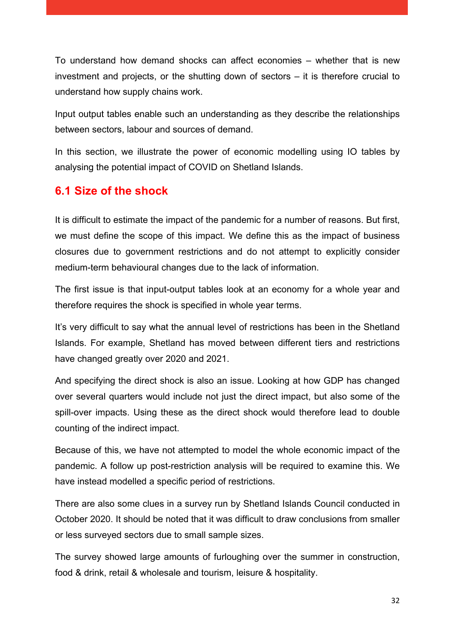To understand how demand shocks can affect economies – whether that is new investment and projects, or the shutting down of sectors – it is therefore crucial to understand how supply chains work.

Input output tables enable such an understanding as they describe the relationships between sectors, labour and sources of demand.

In this section, we illustrate the power of economic modelling using IO tables by analysing the potential impact of COVID on Shetland Islands.

#### <span id="page-32-0"></span>**6.1 Size of the shock**

It is difficult to estimate the impact of the pandemic for a number of reasons. But first, we must define the scope of this impact. We define this as the impact of business closures due to government restrictions and do not attempt to explicitly consider medium-term behavioural changes due to the lack of information.

The first issue is that input-output tables look at an economy for a whole year and therefore requires the shock is specified in whole year terms.

It's very difficult to say what the annual level of restrictions has been in the Shetland Islands. For example, Shetland has moved between different tiers and restrictions have changed greatly over 2020 and 2021.

And specifying the direct shock is also an issue. Looking at how GDP has changed over several quarters would include not just the direct impact, but also some of the spill-over impacts. Using these as the direct shock would therefore lead to double counting of the indirect impact.

Because of this, we have not attempted to model the whole economic impact of the pandemic. A follow up post-restriction analysis will be required to examine this. We have instead modelled a specific period of restrictions.

There are also some clues in a survey run by Shetland Islands Council conducted in October 2020. It should be noted that it was difficult to draw conclusions from smaller or less surveyed sectors due to small sample sizes.

The survey showed large amounts of furloughing over the summer in construction, food & drink, retail & wholesale and tourism, leisure & hospitality.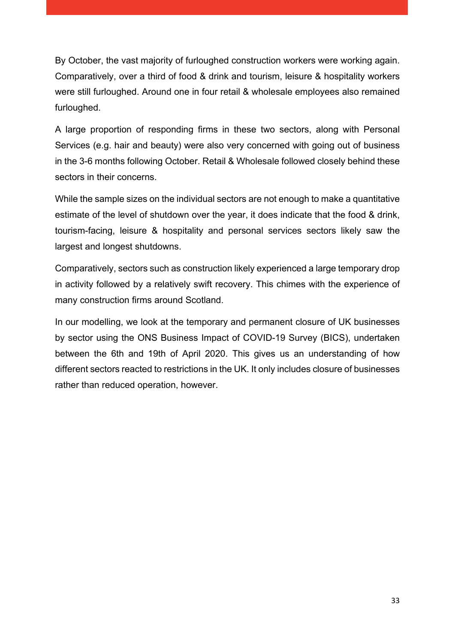By October, the vast majority of furloughed construction workers were working again. Comparatively, over a third of food & drink and tourism, leisure & hospitality workers were still furloughed. Around one in four retail & wholesale employees also remained furloughed.

A large proportion of responding firms in these two sectors, along with Personal Services (e.g. hair and beauty) were also very concerned with going out of business in the 3-6 months following October. Retail & Wholesale followed closely behind these sectors in their concerns.

While the sample sizes on the individual sectors are not enough to make a quantitative estimate of the level of shutdown over the year, it does indicate that the food & drink, tourism-facing, leisure & hospitality and personal services sectors likely saw the largest and longest shutdowns.

Comparatively, sectors such as construction likely experienced a large temporary drop in activity followed by a relatively swift recovery. This chimes with the experience of many construction firms around Scotland.

In our modelling, we look at the temporary and permanent closure of UK businesses by sector using the ONS Business Impact of COVID-19 Survey (BICS), undertaken between the 6th and 19th of April 2020. This gives us an understanding of how different sectors reacted to restrictions in the UK. It only includes closure of businesses rather than reduced operation, however.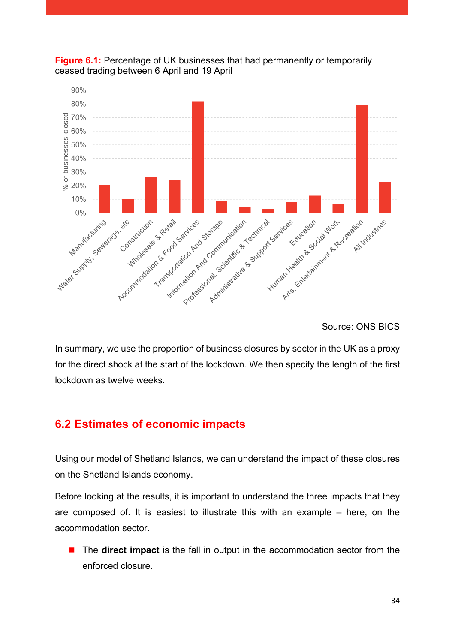

<span id="page-34-1"></span>

Source: ONS BICS

In summary, we use the proportion of business closures by sector in the UK as a proxy for the direct shock at the start of the lockdown. We then specify the length of the first lockdown as twelve weeks.

### <span id="page-34-0"></span>**6.2 Estimates of economic impacts**

Using our model of Shetland Islands, we can understand the impact of these closures on the Shetland Islands economy.

Before looking at the results, it is important to understand the three impacts that they are composed of. It is easiest to illustrate this with an example – here, on the accommodation sector.

■ The **direct impact** is the fall in output in the accommodation sector from the enforced closure.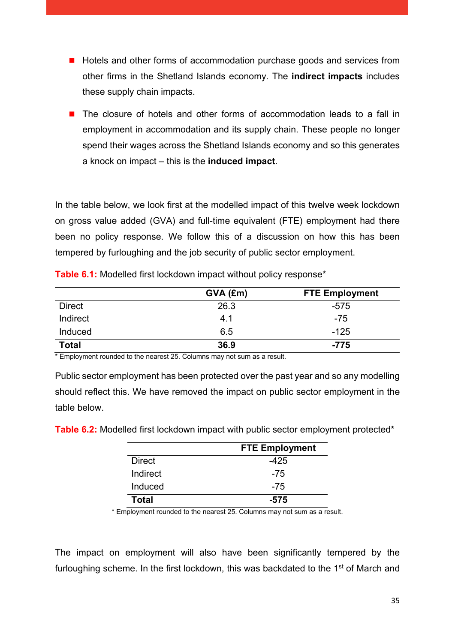- Hotels and other forms of accommodation purchase goods and services from other firms in the Shetland Islands economy. The **indirect impacts** includes these supply chain impacts.
- The closure of hotels and other forms of accommodation leads to a fall in employment in accommodation and its supply chain. These people no longer spend their wages across the Shetland Islands economy and so this generates a knock on impact – this is the **induced impact**.

In the table below, we look first at the modelled impact of this twelve week lockdown on gross value added (GVA) and full-time equivalent (FTE) employment had there been no policy response. We follow this of a discussion on how this has been tempered by furloughing and the job security of public sector employment.

|               | $GVA$ (£m) | <b>FTE Employment</b> |
|---------------|------------|-----------------------|
| <b>Direct</b> | 26.3       | -575                  |
| Indirect      | 4.1        | $-75$                 |
| Induced       | 6.5        | $-125$                |
| <b>Total</b>  | 36.9       | $-775$                |

<span id="page-35-0"></span>**Table 6.1:** Modelled first lockdown impact without policy response\*

\* Employment rounded to the nearest 25. Columns may not sum as a result.

Public sector employment has been protected over the past year and so any modelling should reflect this. We have removed the impact on public sector employment in the table below.

<span id="page-35-1"></span>**Table 6.2:** Modelled first lockdown impact with public sector employment protected\*

|               | <b>FTE Employment</b> |
|---------------|-----------------------|
| <b>Direct</b> | -425                  |
| Indirect      | -75                   |
| Induced       | -75                   |
| <b>Total</b>  | $-575$                |

\* Employment rounded to the nearest 25. Columns may not sum as a result.

The impact on employment will also have been significantly tempered by the furloughing scheme. In the first lockdown, this was backdated to the 1<sup>st</sup> of March and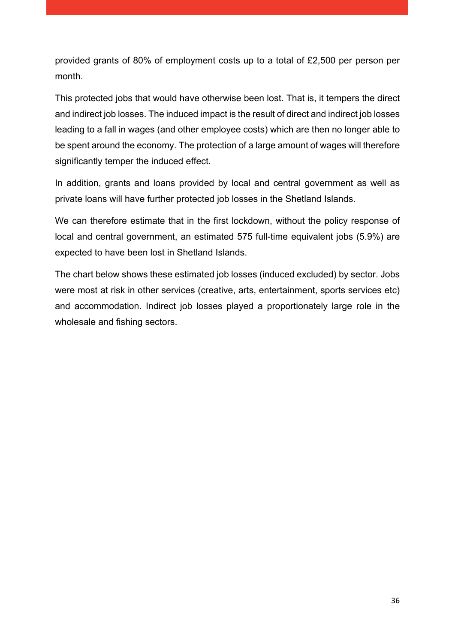provided grants of 80% of employment costs up to a total of £2,500 per person per month.

This protected jobs that would have otherwise been lost. That is, it tempers the direct and indirect job losses. The induced impact is the result of direct and indirect job losses leading to a fall in wages (and other employee costs) which are then no longer able to be spent around the economy. The protection of a large amount of wages will therefore significantly temper the induced effect.

In addition, grants and loans provided by local and central government as well as private loans will have further protected job losses in the Shetland Islands.

We can therefore estimate that in the first lockdown, without the policy response of local and central government, an estimated 575 full-time equivalent jobs (5.9%) are expected to have been lost in Shetland Islands.

The chart below shows these estimated job losses (induced excluded) by sector. Jobs were most at risk in other services (creative, arts, entertainment, sports services etc) and accommodation. Indirect job losses played a proportionately large role in the wholesale and fishing sectors.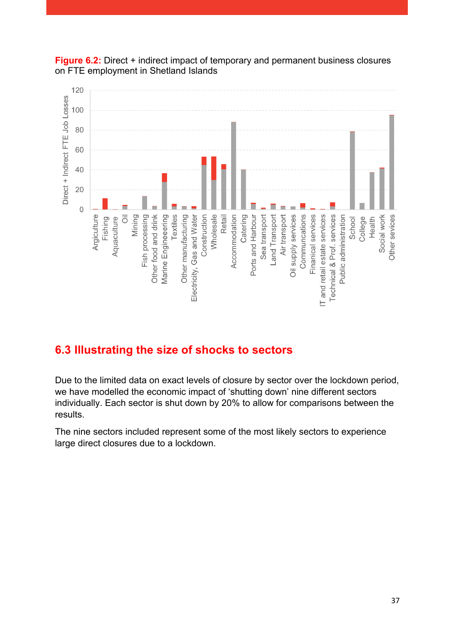

<span id="page-37-1"></span>

### <span id="page-37-0"></span>**6.3 Illustrating the size of shocks to sectors**

Due to the limited data on exact levels of closure by sector over the lockdown period, we have modelled the economic impact of 'shutting down' nine different sectors individually. Each sector is shut down by 20% to allow for comparisons between the results.

The nine sectors included represent some of the most likely sectors to experience large direct closures due to a lockdown.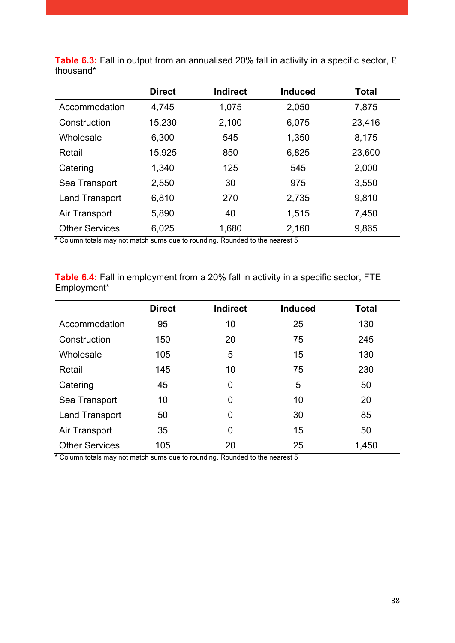|                       | <b>Direct</b> | <b>Indirect</b> | <b>Induced</b> | <b>Total</b> |
|-----------------------|---------------|-----------------|----------------|--------------|
| Accommodation         | 4,745         | 1,075           | 2,050          | 7,875        |
| Construction          | 15,230        | 2,100           | 6,075          | 23,416       |
| Wholesale             | 6,300         | 545             | 1,350          | 8,175        |
| Retail                | 15,925        | 850             | 6,825          | 23,600       |
| Catering              | 1,340         | 125             | 545            | 2,000        |
| Sea Transport         | 2,550         | 30              | 975            | 3,550        |
| <b>Land Transport</b> | 6,810         | 270             | 2,735          | 9,810        |
| Air Transport         | 5,890         | 40              | 1,515          | 7,450        |
| <b>Other Services</b> | 6,025         | 1,680           | 2,160          | 9,865        |

<span id="page-38-0"></span>Table 6.3: Fall in output from an annualised 20% fall in activity in a specific sector, £ thousand\*

\* Column totals may not match sums due to rounding. Rounded to the nearest 5

<span id="page-38-1"></span>**Table 6.4:** Fall in employment from a 20% fall in activity in a specific sector, FTE Employment\*

|                       | <b>Direct</b> | <b>Indirect</b> | <b>Induced</b> | <b>Total</b> |
|-----------------------|---------------|-----------------|----------------|--------------|
| Accommodation         | 95            | 10              | 25             | 130          |
| Construction          | 150           | 20              | 75             | 245          |
| Wholesale             | 105           | 5               | 15             | 130          |
| Retail                | 145           | 10              | 75             | 230          |
| Catering              | 45            | $\overline{0}$  | 5              | 50           |
| Sea Transport         | 10            | $\overline{0}$  | 10             | 20           |
| <b>Land Transport</b> | 50            | $\overline{0}$  | 30             | 85           |
| Air Transport         | 35            | 0               | 15             | 50           |
| <b>Other Services</b> | 105           | 20              | 25             | 1,450        |

\* Column totals may not match sums due to rounding. Rounded to the nearest 5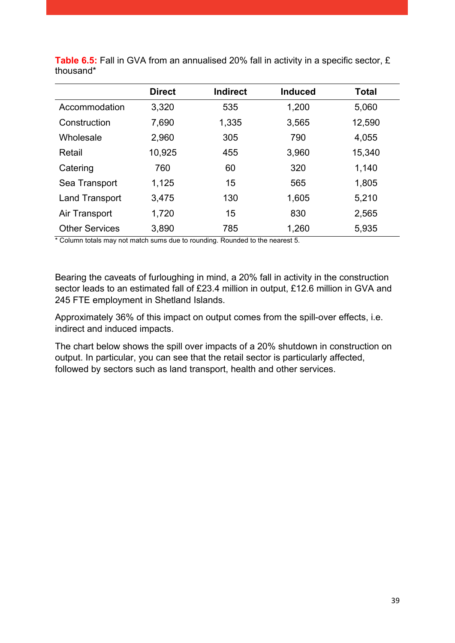|                       | <b>Direct</b> | <b>Indirect</b> | <b>Induced</b> | <b>Total</b> |
|-----------------------|---------------|-----------------|----------------|--------------|
| Accommodation         | 3,320         | 535             | 1,200          | 5,060        |
| Construction          | 7,690         | 1,335           | 3,565          | 12,590       |
| Wholesale             | 2,960         | 305             | 790            | 4,055        |
| Retail                | 10,925        | 455             | 3,960          | 15,340       |
| Catering              | 760           | 60              | 320            | 1,140        |
| Sea Transport         | 1,125         | 15              | 565            | 1,805        |
| <b>Land Transport</b> | 3,475         | 130             | 1,605          | 5,210        |
| Air Transport         | 1,720         | 15              | 830            | 2,565        |
| <b>Other Services</b> | 3,890         | 785             | 1,260          | 5,935        |

<span id="page-39-0"></span>**Table 6.5:** Fall in GVA from an annualised 20% fall in activity in a specific sector, £ thousand\*

\* Column totals may not match sums due to rounding. Rounded to the nearest 5.

Bearing the caveats of furloughing in mind, a 20% fall in activity in the construction sector leads to an estimated fall of £23.4 million in output, £12.6 million in GVA and 245 FTE employment in Shetland Islands.

Approximately 36% of this impact on output comes from the spill-over effects, i.e. indirect and induced impacts.

The chart below shows the spill over impacts of a 20% shutdown in construction on output. In particular, you can see that the retail sector is particularly affected, followed by sectors such as land transport, health and other services.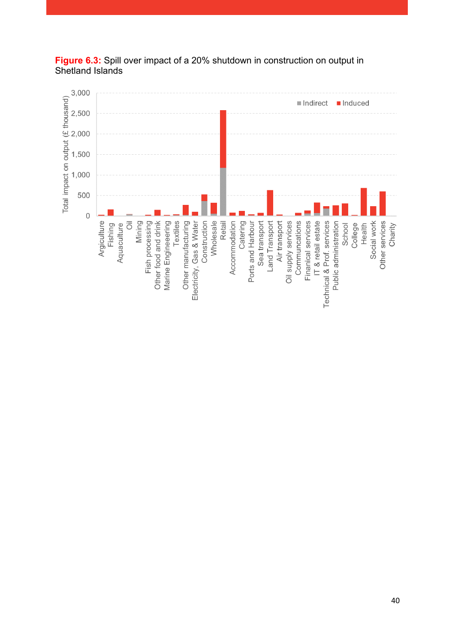

<span id="page-40-0"></span>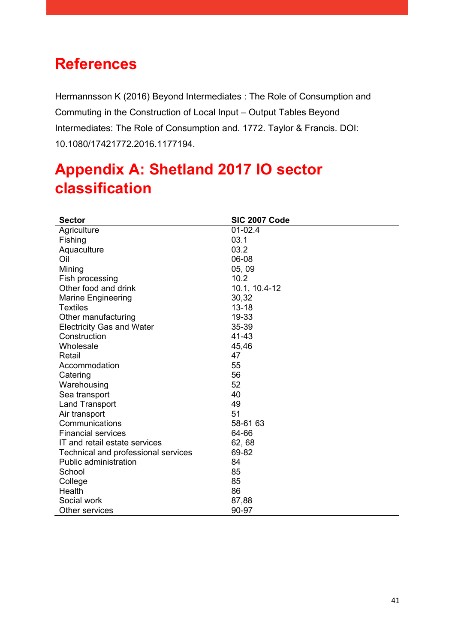## <span id="page-41-0"></span>**References**

Hermannsson K (2016) Beyond Intermediates : The Role of Consumption and Commuting in the Construction of Local Input – Output Tables Beyond Intermediates: The Role of Consumption and. 1772. Taylor & Francis. DOI: 10.1080/17421772.2016.1177194.

# <span id="page-41-1"></span>**Appendix A: Shetland 2017 IO sector classification**

| <b>Sector</b>                       | <b>SIC 2007 Code</b> |
|-------------------------------------|----------------------|
| Agriculture                         | $01-02.4$            |
| Fishing                             | 03.1                 |
| Aquaculture                         | 03.2                 |
| Oil                                 | 06-08                |
| Mining                              | 05,09                |
| Fish processing                     | 10.2                 |
| Other food and drink                | 10.1, 10.4-12        |
| <b>Marine Engineering</b>           | 30,32                |
| <b>Textiles</b>                     | $13 - 18$            |
| Other manufacturing                 | 19-33                |
| <b>Electricity Gas and Water</b>    | 35-39                |
| Construction                        | 41-43                |
| Wholesale                           | 45,46                |
| Retail                              | 47                   |
| Accommodation                       | 55                   |
| Catering                            | 56                   |
| Warehousing                         | 52                   |
| Sea transport                       | 40                   |
| <b>Land Transport</b>               | 49                   |
| Air transport                       | 51                   |
| Communications                      | 58-61 63             |
| <b>Financial services</b>           | 64-66                |
| IT and retail estate services       | 62, 68               |
| Technical and professional services | 69-82                |
| <b>Public administration</b>        | 84                   |
| School                              | 85                   |
| College                             | 85                   |
| Health                              | 86                   |
| Social work                         | 87,88                |
| Other services                      | 90-97                |